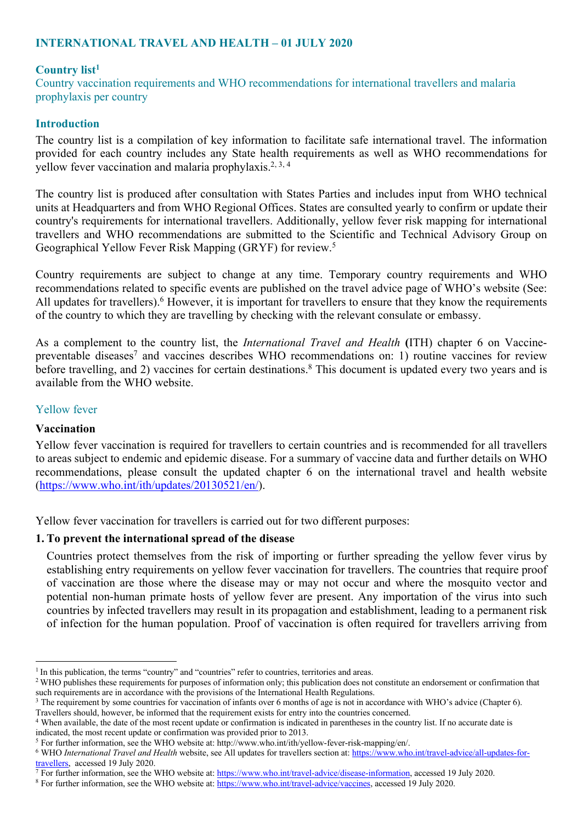# **INTERNATIONAL TRAVEL AND HEALTH – 01 JULY 2020**

#### **Country list1**

Country vaccination requirements and WHO recommendations for international travellers and malaria prophylaxis per country

#### **Introduction**

The country list is a compilation of key information to facilitate safe international travel. The information provided for each country includes any State health requirements as well as WHO recommendations for yellow fever vaccination and malaria prophylaxis.<sup>2, 3, 4</sup>

The country list is produced after consultation with States Parties and includes input from WHO technical units at Headquarters and from WHO Regional Offices. States are consulted yearly to confirm or update their country's requirements for international travellers. Additionally, yellow fever risk mapping for international travellers and WHO recommendations are submitted to the Scientific and Technical Advisory Group on Geographical Yellow Fever Risk Mapping (GRYF) for review. 5

Country requirements are subject to change at any time. Temporary country requirements and WHO recommendations related to specific events are published on the travel advice page of WHO's website (See: All updates for travellers).<sup>6</sup> However, it is important for travellers to ensure that they know the requirements of the country to which they are travelling by checking with the relevant consulate or embassy.

As a complement to the country list, the *International Travel and Health* **(**ITH) chapter 6 on Vaccinepreventable diseases<sup>7</sup> and vaccines describes WHO recommendations on: 1) routine vaccines for review before travelling, and 2) vaccines for certain destinations.<sup>8</sup> This document is updated every two years and is available from the WHO website.

#### Yellow fever

#### **Vaccination**

Yellow fever vaccination is required for travellers to certain countries and is recommended for all travellers to areas subject to endemic and epidemic disease. For a summary of vaccine data and further details on WHO recommendations, please consult the updated chapter 6 on the international travel and health website (https://www.who.int/ith/updates/20130521/en/).

Yellow fever vaccination for travellers is carried out for two different purposes:

#### **1. To prevent the international spread of the disease**

Countries protect themselves from the risk of importing or further spreading the yellow fever virus by establishing entry requirements on yellow fever vaccination for travellers. The countries that require proof of vaccination are those where the disease may or may not occur and where the mosquito vector and potential non-human primate hosts of yellow fever are present. Any importation of the virus into such countries by infected travellers may result in its propagation and establishment, leading to a permanent risk of infection for the human population. Proof of vaccination is often required for travellers arriving from

<sup>&</sup>lt;sup>1</sup> In this publication, the terms "country" and "countries" refer to countries, territories and areas.

<sup>&</sup>lt;sup>2</sup> WHO publishes these requirements for purposes of information only; this publication does not constitute an endorsement or confirmation that such requirements are in accordance with the provisions of the International Health Regulations.

<sup>3</sup> The requirement by some countries for vaccination of infants over 6 months of age is not in accordance with WHO's advice (Chapter 6). Travellers should, however, be informed that the requirement exists for entry into the countries concerned.

<sup>4</sup> When available, the date of the most recent update or confirmation is indicated in parentheses in the country list. If no accurate date is indicated, the most recent update or confirmation was provided prior to 2013.

<sup>5</sup> For further information, see the WHO website at: http://www.who.int/ith/yellow-fever-risk-mapping/en/.

<sup>6</sup> WHO *International Travel and Health* website, see All updates for travellers section at: https://www.who.int/travel-advice/all-updates-for- $\frac{travellers}{7}$ , accessed 19 July 2020.

<sup>7</sup> For further information, see the WHO website at: https://www.who.int/travel-advice/disease-information, accessed 19 July 2020.

<sup>8</sup> For further information, see the WHO website at: https://www.who.int/travel-advice/vaccines, accessed 19 July 2020.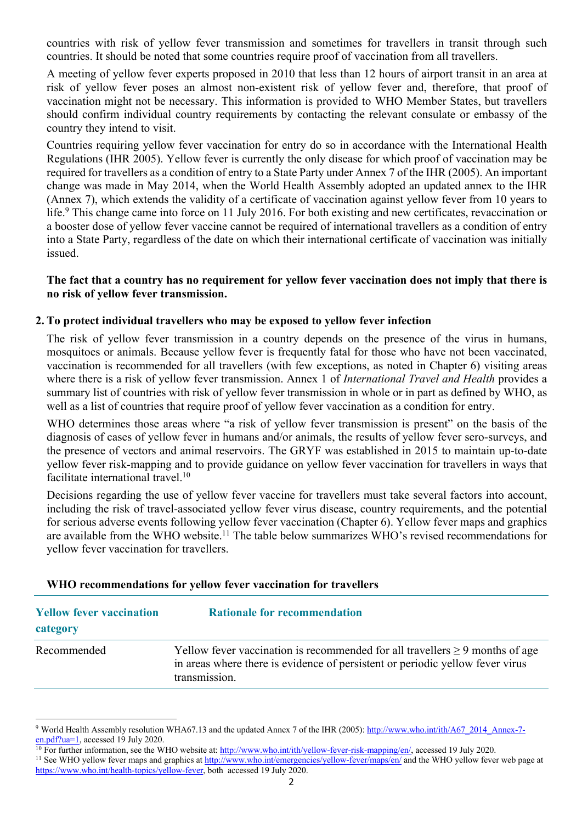countries with risk of yellow fever transmission and sometimes for travellers in transit through such countries. It should be noted that some countries require proof of vaccination from all travellers.

A meeting of yellow fever experts proposed in 2010 that less than 12 hours of airport transit in an area at risk of yellow fever poses an almost non-existent risk of yellow fever and, therefore, that proof of vaccination might not be necessary. This information is provided to WHO Member States, but travellers should confirm individual country requirements by contacting the relevant consulate or embassy of the country they intend to visit.

Countries requiring yellow fever vaccination for entry do so in accordance with the International Health Regulations (IHR 2005). Yellow fever is currently the only disease for which proof of vaccination may be required for travellers as a condition of entry to a State Party under Annex 7 of the IHR (2005). An important change was made in May 2014, when the World Health Assembly adopted an updated annex to the IHR (Annex 7), which extends the validity of a certificate of vaccination against yellow fever from 10 years to life.<sup>9</sup> This change came into force on 11 July 2016. For both existing and new certificates, revaccination or a booster dose of yellow fever vaccine cannot be required of international travellers as a condition of entry into a State Party, regardless of the date on which their international certificate of vaccination was initially issued.

#### **The fact that a country has no requirement for yellow fever vaccination does not imply that there is no risk of yellow fever transmission.**

### **2. To protect individual travellers who may be exposed to yellow fever infection**

The risk of yellow fever transmission in a country depends on the presence of the virus in humans, mosquitoes or animals. Because yellow fever is frequently fatal for those who have not been vaccinated, vaccination is recommended for all travellers (with few exceptions, as noted in Chapter 6) visiting areas where there is a risk of yellow fever transmission. Annex 1 of *International Travel and Health* provides a summary list of countries with risk of yellow fever transmission in whole or in part as defined by WHO, as well as a list of countries that require proof of yellow fever vaccination as a condition for entry.

WHO determines those areas where "a risk of yellow fever transmission is present" on the basis of the diagnosis of cases of yellow fever in humans and/or animals, the results of yellow fever sero-surveys, and the presence of vectors and animal reservoirs. The GRYF was established in 2015 to maintain up-to-date yellow fever risk-mapping and to provide guidance on yellow fever vaccination for travellers in ways that facilitate international travel. 10

Decisions regarding the use of yellow fever vaccine for travellers must take several factors into account, including the risk of travel-associated yellow fever virus disease, country requirements, and the potential for serious adverse events following yellow fever vaccination (Chapter 6). Yellow fever maps and graphics are available from the WHO website.<sup>11</sup> The table below summarizes WHO's revised recommendations for yellow fever vaccination for travellers.

| <b>Yellow fever vaccination</b><br>category | <b>Rationale for recommendation</b>                                                                                                                                                 |
|---------------------------------------------|-------------------------------------------------------------------------------------------------------------------------------------------------------------------------------------|
| Recommended                                 | Yellow fever vaccination is recommended for all travellers $\geq$ 9 months of age<br>in areas where there is evidence of persistent or periodic yellow fever virus<br>transmission. |

### **WHO recommendations for yellow fever vaccination for travellers**

<sup>&</sup>lt;sup>9</sup> World Health Assembly resolution WHA67.13 and the updated Annex 7 of the IHR (2005): http://www.who.int/ith/A67\_2014\_Annex-7en.pdf?ua=1, accessed 19 July 2020.

<sup>&</sup>lt;sup>10</sup> For further information, see the WHO website at: http://www.who.int/ith/yellow-fever-risk-mapping/en/, accessed 19 July 2020. <sup>11</sup> See WHO yellow fever maps and graphics at http://www.who.int/emergencies/yellow-fever/maps/en/ and the WHO yellow fever web page at https://www.who.int/health-topics/yellow-fever, both accessed 19 July 2020.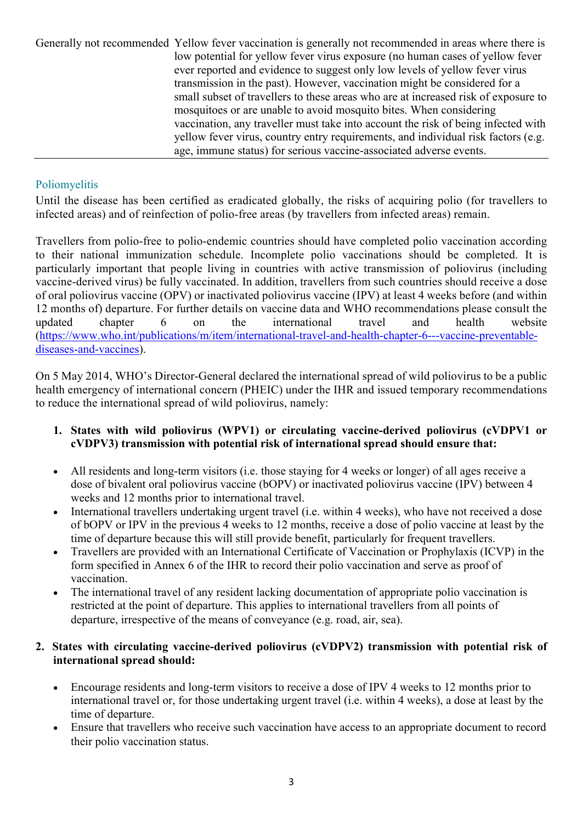Generally not recommended Yellow fever vaccination is generally not recommended in areas where there is low potential for yellow fever virus exposure (no human cases of yellow fever ever reported and evidence to suggest only low levels of yellow fever virus transmission in the past). However, vaccination might be considered for a small subset of travellers to these areas who are at increased risk of exposure to mosquitoes or are unable to avoid mosquito bites. When considering vaccination, any traveller must take into account the risk of being infected with yellow fever virus, country entry requirements, and individual risk factors (e.g. age, immune status) for serious vaccine-associated adverse events.

# Poliomyelitis

Until the disease has been certified as eradicated globally, the risks of acquiring polio (for travellers to infected areas) and of reinfection of polio-free areas (by travellers from infected areas) remain.

Travellers from polio-free to polio-endemic countries should have completed polio vaccination according to their national immunization schedule. Incomplete polio vaccinations should be completed. It is particularly important that people living in countries with active transmission of poliovirus (including vaccine-derived virus) be fully vaccinated. In addition, travellers from such countries should receive a dose of oral poliovirus vaccine (OPV) or inactivated poliovirus vaccine (IPV) at least 4 weeks before (and within 12 months of) departure. For further details on vaccine data and WHO recommendations please consult the updated chapter 6 on the international travel and health website (https://www.who.int/publications/m/item/international-travel-and-health-chapter-6---vaccine-preventablediseases-and-vaccines).

On 5 May 2014, WHO's Director-General declared the international spread of wild poliovirus to be a public health emergency of international concern (PHEIC) under the IHR and issued temporary recommendations to reduce the international spread of wild poliovirus, namely:

- **1. States with wild poliovirus (WPV1) or circulating vaccine-derived poliovirus (cVDPV1 or cVDPV3) transmission with potential risk of international spread should ensure that:**
- All residents and long-term visitors (i.e. those staying for 4 weeks or longer) of all ages receive a dose of bivalent oral poliovirus vaccine (bOPV) or inactivated poliovirus vaccine (IPV) between 4 weeks and 12 months prior to international travel.
- International travellers undertaking urgent travel (i.e. within 4 weeks), who have not received a dose of bOPV or IPV in the previous 4 weeks to 12 months, receive a dose of polio vaccine at least by the time of departure because this will still provide benefit, particularly for frequent travellers.
- Travellers are provided with an International Certificate of Vaccination or Prophylaxis (ICVP) in the form specified in Annex 6 of the IHR to record their polio vaccination and serve as proof of vaccination.
- The international travel of any resident lacking documentation of appropriate polio vaccination is restricted at the point of departure. This applies to international travellers from all points of departure, irrespective of the means of conveyance (e.g. road, air, sea).

# **2. States with circulating vaccine-derived poliovirus (cVDPV2) transmission with potential risk of international spread should:**

- Encourage residents and long-term visitors to receive a dose of IPV 4 weeks to 12 months prior to international travel or, for those undertaking urgent travel (i.e. within 4 weeks), a dose at least by the time of departure.
- Ensure that travellers who receive such vaccination have access to an appropriate document to record their polio vaccination status.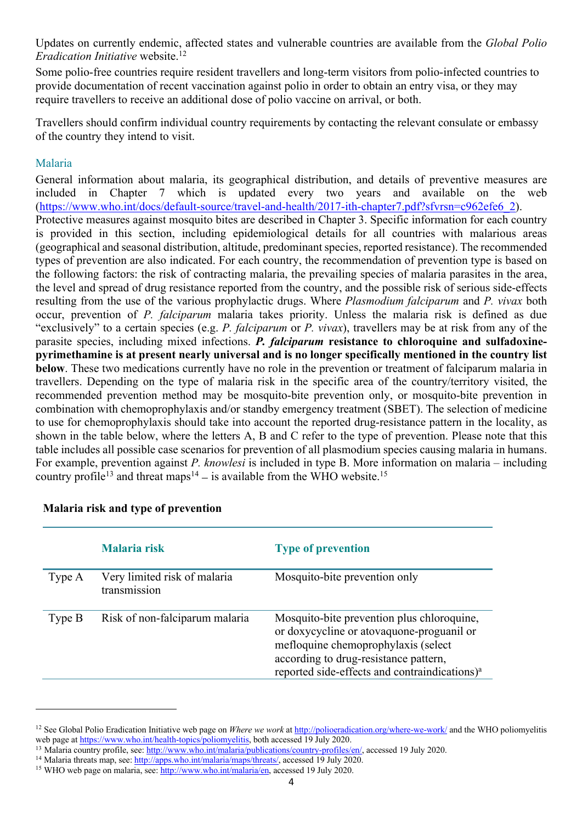Updates on currently endemic, affected states and vulnerable countries are available from the *Global Polio Eradication Initiative* website. 12

Some polio-free countries require resident travellers and long-term visitors from polio-infected countries to provide documentation of recent vaccination against polio in order to obtain an entry visa, or they may require travellers to receive an additional dose of polio vaccine on arrival, or both.

Travellers should confirm individual country requirements by contacting the relevant consulate or embassy of the country they intend to visit.

### Malaria

General information about malaria, its geographical distribution, and details of preventive measures are included in Chapter 7 which is updated every two years and available on the web (https://www.who.int/docs/default-source/travel-and-health/2017-ith-chapter7.pdf?sfvrsn=c962efe6\_2). Protective measures against mosquito bites are described in Chapter 3. Specific information for each country is provided in this section, including epidemiological details for all countries with malarious areas (geographical and seasonal distribution, altitude, predominant species, reported resistance). The recommended types of prevention are also indicated. For each country, the recommendation of prevention type is based on the following factors: the risk of contracting malaria, the prevailing species of malaria parasites in the area, the level and spread of drug resistance reported from the country, and the possible risk of serious side-effects resulting from the use of the various prophylactic drugs. Where *Plasmodium falciparum* and *P. vivax* both occur, prevention of *P. falciparum* malaria takes priority. Unless the malaria risk is defined as due "exclusively" to a certain species (e.g. *P. falciparum* or *P. vivax*), travellers may be at risk from any of the parasite species, including mixed infections. *P. falciparum* **resistance to chloroquine and sulfadoxinepyrimethamine is at present nearly universal and is no longer specifically mentioned in the country list below**. These two medications currently have no role in the prevention or treatment of falciparum malaria in travellers. Depending on the type of malaria risk in the specific area of the country/territory visited, the recommended prevention method may be mosquito-bite prevention only, or mosquito-bite prevention in combination with chemoprophylaxis and/or standby emergency treatment (SBET). The selection of medicine to use for chemoprophylaxis should take into account the reported drug-resistance pattern in the locality, as shown in the table below, where the letters A, B and C refer to the type of prevention. Please note that this table includes all possible case scenarios for prevention of all plasmodium species causing malaria in humans. For example, prevention against *P. knowlesi* is included in type B. More information on malaria – including country profile<sup>13</sup> and threat maps<sup>14</sup> – is available from the WHO website.<sup>15</sup>

|          | Malaria risk                                 | <b>Type of prevention</b>                                                                                                                                                                                                            |
|----------|----------------------------------------------|--------------------------------------------------------------------------------------------------------------------------------------------------------------------------------------------------------------------------------------|
| Type A   | Very limited risk of malaria<br>transmission | Mosquito-bite prevention only                                                                                                                                                                                                        |
| Type $B$ | Risk of non-falciparum malaria               | Mosquito-bite prevention plus chloroquine,<br>or doxycycline or atovaquone-proguanil or<br>mefloquine chemoprophylaxis (select<br>according to drug-resistance pattern,<br>reported side-effects and contraindications) <sup>a</sup> |

### **Malaria risk and type of prevention**

<sup>&</sup>lt;sup>12</sup> See Global Polio Eradication Initiative web page on *Where we work* at http://polioeradication.org/where-we-work/ and the WHO poliomyelitis web page at https://www.who.int/health-topics/poliomyelitis, both accessed 19 July 2020.

<sup>&</sup>lt;sup>13</sup> Malaria country profile, see: http://www.who.int/malaria/publications/country-profiles/en/, accessed 19 July 2020.

<sup>&</sup>lt;sup>14</sup> Malaria threats map, see: http://apps.who.int/malaria/maps/threats/, accessed 19 July 2020.

<sup>&</sup>lt;sup>15</sup> WHO web page on malaria, see: http://www.who.int/malaria/en, accessed 19 July 2020.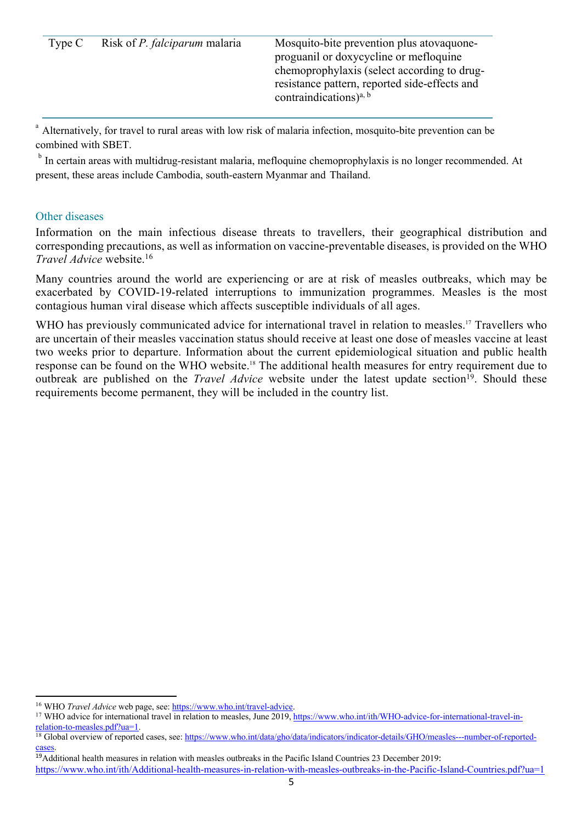| Type C | Risk of <i>P. falciparum</i> malaria | Mosquito-bite prevention plus atovaquone-<br>proguanil or doxycycline or mefloquine<br>chemoprophylaxis (select according to drug-<br>resistance pattern, reported side-effects and<br>contraindications) <sup>a, b</sup> |
|--------|--------------------------------------|---------------------------------------------------------------------------------------------------------------------------------------------------------------------------------------------------------------------------|
|        |                                      |                                                                                                                                                                                                                           |

<sup>a</sup> Alternatively, for travel to rural areas with low risk of malaria infection, mosquito-bite prevention can be combined with SBET.

<sup>b</sup> In certain areas with multidrug-resistant malaria, mefloquine chemoprophylaxis is no longer recommended. At present, these areas include Cambodia, south-eastern Myanmar and Thailand.

#### Other diseases

Information on the main infectious disease threats to travellers, their geographical distribution and corresponding precautions, as well as information on vaccine-preventable diseases, is provided on the WHO *Travel Advice* website. 16

Many countries around the world are experiencing or are at risk of measles outbreaks, which may be exacerbated by COVID-19-related interruptions to immunization programmes. Measles is the most contagious human viral disease which affects susceptible individuals of all ages.

WHO has previously communicated advice for international travel in relation to measles.<sup>17</sup> Travellers who are uncertain of their measles vaccination status should receive at least one dose of measles vaccine at least two weeks prior to departure. Information about the current epidemiological situation and public health response can be found on the WHO website.18 The additional health measures for entry requirement due to outbreak are published on the *Travel Advice* website under the latest update section<sup>19</sup>. Should these requirements become permanent, they will be included in the country list.

<sup>&</sup>lt;sup>16</sup> WHO *Travel Advice* web page, see: https://www.who.int/travel-advice.<br><sup>17</sup> WHO advice for international travel in relation to measles, June 2019, https://www.who.int/ith/WHO-advice-for-international-travel-inrelation-to-measles.pdf?ua=1.

<sup>&</sup>lt;sup>18</sup> Global overview of reported cases, see: https://www.who.int/data/gho/data/indicators/indicator-details/GHO/measles---number-of-reportedcases.

<sup>&</sup>lt;sup>19</sup>Additional health measures in relation with measles outbreaks in the Pacific Island Countries 23 December 2019:

https://www.who.int/ith/Additional-health-measures-in-relation-with-measles-outbreaks-in-the-Pacific-Island-Countries.pdf?ua=1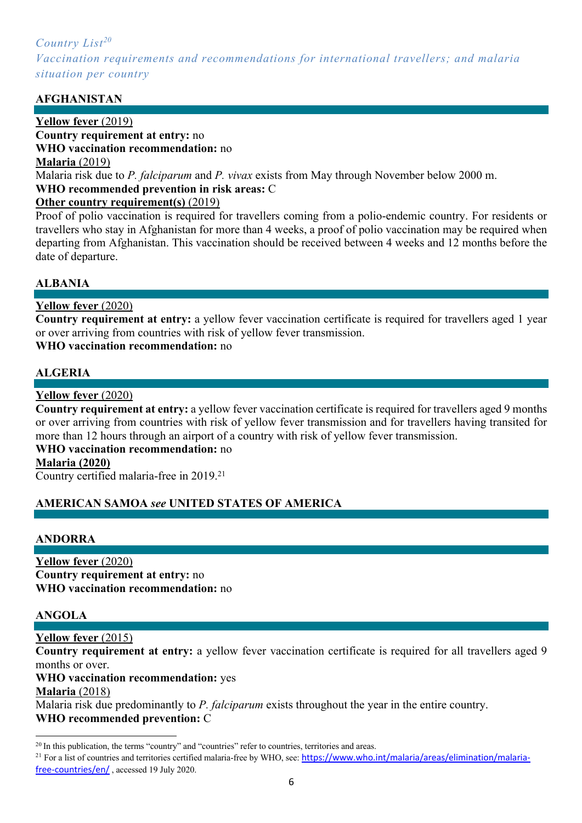# *Country List20 Vaccination requirements and recommendations for international travellers; and malaria situation per country*

# **AFGHANISTAN**

#### **Yellow fever** (2019) **Country requirement at entry:** no **WHO vaccination recommendation:** no

**Malaria** (2019)

Malaria risk due to *P. falciparum* and *P. vivax* exists from May through November below 2000 m.

### **WHO recommended prevention in risk areas:** C

# **Other country requirement(s)** (2019)

Proof of polio vaccination is required for travellers coming from a polio-endemic country. For residents or travellers who stay in Afghanistan for more than 4 weeks, a proof of polio vaccination may be required when departing from Afghanistan. This vaccination should be received between 4 weeks and 12 months before the date of departure.

# **ALBANIA**

# **Yellow fever** (2020)

**Country requirement at entry:** a yellow fever vaccination certificate is required for travellers aged 1 year or over arriving from countries with risk of yellow fever transmission.

### **WHO vaccination recommendation:** no

# **ALGERIA**

# **Yellow fever** (2020)

**Country requirement at entry:** a yellow fever vaccination certificate is required for travellers aged 9 months or over arriving from countries with risk of yellow fever transmission and for travellers having transited for more than 12 hours through an airport of a country with risk of yellow fever transmission.

# **WHO vaccination recommendation:** no

### **Malaria (2020)**

Country certified malaria-free in 2019.21

# **AMERICAN SAMOA** *see* **UNITED STATES OF AMERICA**

### **ANDORRA**

### **Yellow fever** (2020) **Country requirement at entry:** no **WHO vaccination recommendation:** no

# **ANGOLA**

**Yellow fever** (2015)

**Country requirement at entry:** a yellow fever vaccination certificate is required for all travellers aged 9 months or over.

#### **WHO vaccination recommendation:** yes **Malaria** (2018)

Malaria risk due predominantly to *P. falciparum* exists throughout the year in the entire country. **WHO recommended prevention:** C

<sup>&</sup>lt;sup>20</sup> In this publication, the terms "country" and "countries" refer to countries, territories and areas.

<sup>&</sup>lt;sup>21</sup> For a list of countries and territories certified malaria-free by WHO, see: https://www.who.int/malaria/areas/elimination/malariafree-countries/en/ , accessed 19 July 2020.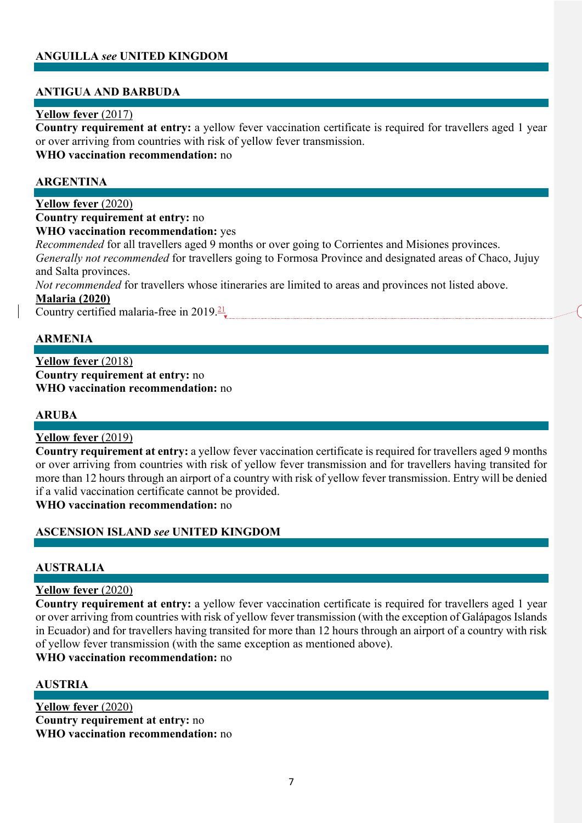# **ANGUILLA** *see* **UNITED KINGDOM**

### **ANTIGUA AND BARBUDA**

### **Yellow fever** (2017)

**Country requirement at entry:** a yellow fever vaccination certificate is required for travellers aged 1 year or over arriving from countries with risk of yellow fever transmission. **WHO vaccination recommendation:** no

#### **ARGENTINA**

**Yellow fever** (2020) **Country requirement at entry:** no **WHO vaccination recommendation:** yes *Recommended* for all travellers aged 9 months or over going to Corrientes and Misiones provinces. *Generally not recommended* for travellers going to Formosa Province and designated areas of Chaco, Jujuy and Salta provinces. *Not recommended* for travellers whose itineraries are limited to areas and provinces not listed above. **Malaria (2020)**

Country certified malaria-free in  $2019.21$ 

# **ARMENIA**

**Yellow fever** (2018) **Country requirement at entry:** no **WHO vaccination recommendation:** no

#### **ARUBA**

### **Yellow fever** (2019)

**Country requirement at entry:** a yellow fever vaccination certificate is required for travellers aged 9 months or over arriving from countries with risk of yellow fever transmission and for travellers having transited for more than 12 hours through an airport of a country with risk of yellow fever transmission. Entry will be denied if a valid vaccination certificate cannot be provided.

**WHO vaccination recommendation:** no

### **ASCENSION ISLAND** *see* **UNITED KINGDOM**

### **AUSTRALIA**

#### **Yellow fever** (2020)

**Country requirement at entry:** a yellow fever vaccination certificate is required for travellers aged 1 year or over arriving from countries with risk of yellow fever transmission (with the exception of Galápagos Islands in Ecuador) and for travellers having transited for more than 12 hours through an airport of a country with risk of yellow fever transmission (with the same exception as mentioned above).

#### **WHO vaccination recommendation:** no

#### **AUSTRIA**

**Yellow fever** (2020) **Country requirement at entry:** no **WHO vaccination recommendation:** no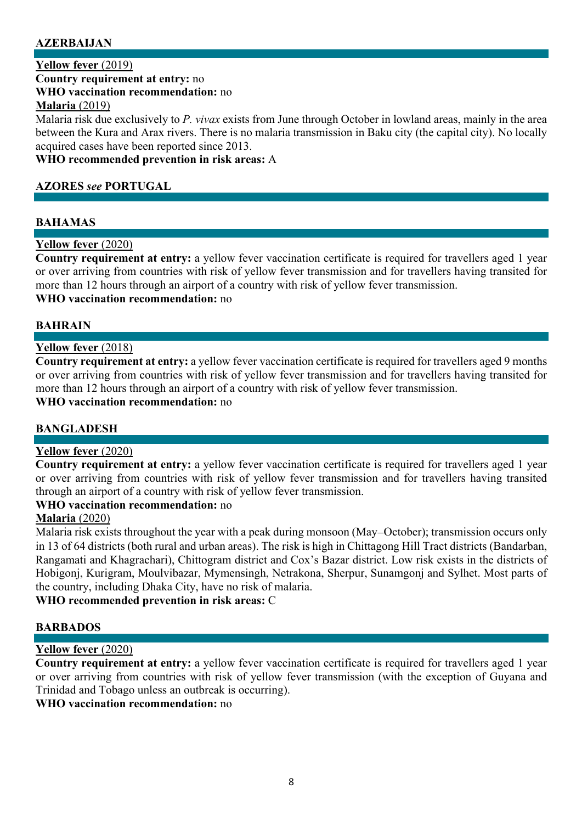# **AZERBAIJAN**

### **Yellow fever** (2019)

**Country requirement at entry:** no

#### **WHO vaccination recommendation:** no

#### **Malaria** (2019)

Malaria risk due exclusively to *P. vivax* exists from June through October in lowland areas, mainly in the area between the Kura and Arax rivers. There is no malaria transmission in Baku city (the capital city). No locally acquired cases have been reported since 2013.

**WHO recommended prevention in risk areas:** A

#### **AZORES** *see* **PORTUGAL**

#### **BAHAMAS**

#### **Yellow fever** (2020)

**Country requirement at entry:** a yellow fever vaccination certificate is required for travellers aged 1 year or over arriving from countries with risk of yellow fever transmission and for travellers having transited for more than 12 hours through an airport of a country with risk of yellow fever transmission.

# **WHO vaccination recommendation:** no

#### **BAHRAIN**

#### **Yellow fever** (2018)

**Country requirement at entry:** a yellow fever vaccination certificate is required for travellers aged 9 months or over arriving from countries with risk of yellow fever transmission and for travellers having transited for more than 12 hours through an airport of a country with risk of yellow fever transmission.

# **WHO vaccination recommendation:** no

### **BANGLADESH**

#### **Yellow fever** (2020)

**Country requirement at entry:** a yellow fever vaccination certificate is required for travellers aged 1 year or over arriving from countries with risk of yellow fever transmission and for travellers having transited through an airport of a country with risk of yellow fever transmission.

#### **WHO vaccination recommendation:** no

### **Malaria** (2020)

Malaria risk exists throughout the year with a peak during monsoon (May-October); transmission occurs only in 13 of 64 districts (both rural and urban areas). The risk is high in Chittagong Hill Tract districts (Bandarban, Rangamati and Khagrachari), Chittogram district and Cox's Bazar district. Low risk exists in the districts of Hobigonj, Kurigram, Moulvibazar, Mymensingh, Netrakona, Sherpur, Sunamgonj and Sylhet. Most parts of the country, including Dhaka City, have no risk of malaria.

**WHO recommended prevention in risk areas:** C

### **BARBADOS**

### **Yellow fever** (2020)

**Country requirement at entry:** a yellow fever vaccination certificate is required for travellers aged 1 year or over arriving from countries with risk of yellow fever transmission (with the exception of Guyana and Trinidad and Tobago unless an outbreak is occurring).

### **WHO vaccination recommendation:** no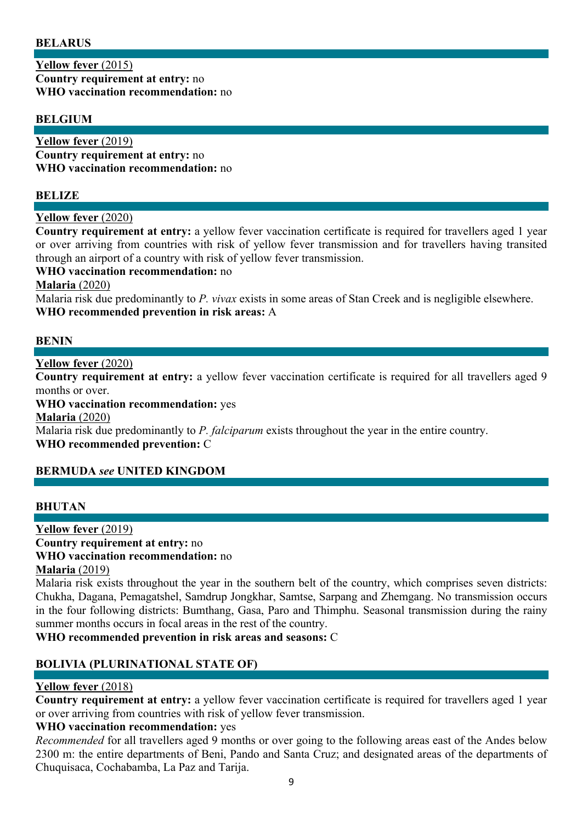### **BELARUS**

**Yellow fever** (2015) **Country requirement at entry:** no **WHO vaccination recommendation:** no

### **BELGIUM**

**Yellow fever** (2019) **Country requirement at entry:** no **WHO vaccination recommendation:** no

#### **BELIZE**

#### **Yellow fever** (2020)

**Country requirement at entry:** a yellow fever vaccination certificate is required for travellers aged 1 year or over arriving from countries with risk of yellow fever transmission and for travellers having transited through an airport of a country with risk of yellow fever transmission.

#### **WHO vaccination recommendation:** no

#### **Malaria** (2020)

Malaria risk due predominantly to *P. vivax* exists in some areas of Stan Creek and is negligible elsewhere. **WHO recommended prevention in risk areas:** A

#### **BENIN**

**Yellow fever** (2020)

**Country requirement at entry:** a yellow fever vaccination certificate is required for all travellers aged 9 months or over.

#### **WHO vaccination recommendation:** yes

**Malaria** (2020)

Malaria risk due predominantly to *P. falciparum* exists throughout the year in the entire country. **WHO recommended prevention:** C

### **BERMUDA** *see* **UNITED KINGDOM**

### **BHUTAN**

#### **Yellow fever** (2019) **Country requirement at entry:** no **WHO vaccination recommendation:** no

#### **Malaria** (2019)

Malaria risk exists throughout the year in the southern belt of the country, which comprises seven districts: Chukha, Dagana, Pemagatshel, Samdrup Jongkhar, Samtse, Sarpang and Zhemgang. No transmission occurs in the four following districts: Bumthang, Gasa, Paro and Thimphu. Seasonal transmission during the rainy summer months occurs in focal areas in the rest of the country.

#### **WHO recommended prevention in risk areas and seasons:** C

### **BOLIVIA (PLURINATIONAL STATE OF)**

### **Yellow fever** (2018)

**Country requirement at entry:** a yellow fever vaccination certificate is required for travellers aged 1 year or over arriving from countries with risk of yellow fever transmission.

### **WHO vaccination recommendation:** yes

*Recommended* for all travellers aged 9 months or over going to the following areas east of the Andes below 2300 m: the entire departments of Beni, Pando and Santa Cruz; and designated areas of the departments of Chuquisaca, Cochabamba, La Paz and Tarija.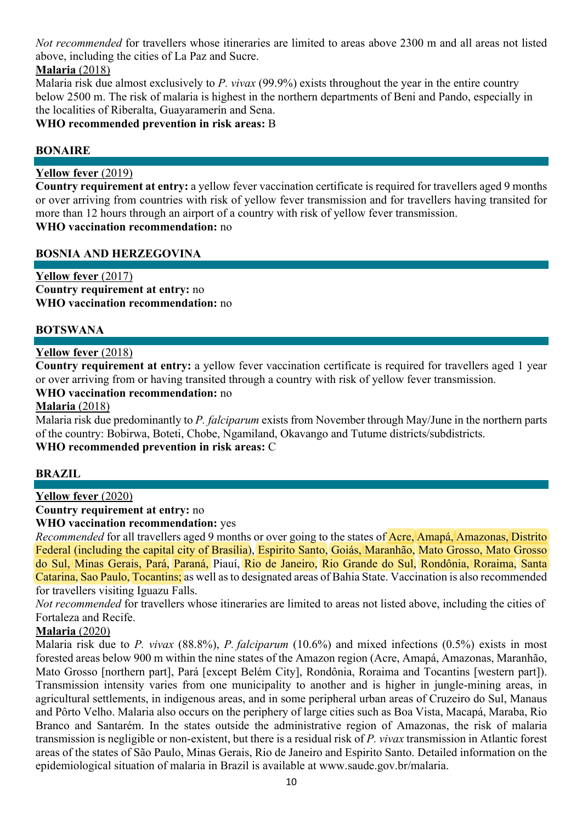*Not recommended* for travellers whose itineraries are limited to areas above 2300 m and all areas not listed above, including the cities of La Paz and Sucre.

**Malaria** (2018)

Malaria risk due almost exclusively to *P. vivax* (99.9%) exists throughout the year in the entire country below 2500 m. The risk of malaria is highest in the northern departments of Beni and Pando, especially in the localities of Riberalta, Guayaramerín and Sena.

**WHO recommended prevention in risk areas:** B

### **BONAIRE**

# **Yellow fever** (2019)

**Country requirement at entry:** a yellow fever vaccination certificate is required for travellers aged 9 months or over arriving from countries with risk of yellow fever transmission and for travellers having transited for more than 12 hours through an airport of a country with risk of yellow fever transmission.

# **WHO vaccination recommendation:** no

# **BOSNIA AND HERZEGOVINA**

**Yellow fever** (2017) **Country requirement at entry:** no **WHO vaccination recommendation:** no

### **BOTSWANA**

### **Yellow fever** (2018)

**Country requirement at entry:** a yellow fever vaccination certificate is required for travellers aged 1 year or over arriving from or having transited through a country with risk of yellow fever transmission.

### **WHO vaccination recommendation:** no

**Malaria** (2018)

Malaria risk due predominantly to *P. falciparum* exists from November through May/June in the northern parts of the country: Bobirwa, Boteti, Chobe, Ngamiland, Okavango and Tutume districts/subdistricts. **WHO recommended prevention in risk areas:** C

### **BRAZIL**

### **Yellow fever** (2020)

**Country requirement at entry:** no

**WHO vaccination recommendation:** yes

*Recommended* for all travellers aged 9 months or over going to the states of **Acre**, Amapá, Amazonas, Distrito Federal (including the capital city of Brasília), Espirito Santo, Goiás, Maranhão, Mato Grosso, Mato Grosso do Sul, Minas Gerais, Pará, Paraná, Piauí, Rio de Janeiro, Rio Grande do Sul, Rondônia, Roraima, Santa Catarina, Sao Paulo, Tocantins; as well as to designated areas of Bahia State. Vaccination is also recommended for travellers visiting Iguazu Falls.

*Not recommended* for travellers whose itineraries are limited to areas not listed above, including the cities of Fortaleza and Recife.

### **Malaria** (2020)

Malaria risk due to *P. vivax* (88.8%), *P. falciparum* (10.6%) and mixed infections (0.5%) exists in most forested areas below 900 m within the nine states of the Amazon region (Acre, Amapá, Amazonas, Maranhão, Mato Grosso [northern part], Pará [except Belém City], Rondônia, Roraima and Tocantins [western part]). Transmission intensity varies from one municipality to another and is higher in jungle-mining areas, in agricultural settlements, in indigenous areas, and in some peripheral urban areas of Cruzeiro do Sul, Manaus and Pôrto Velho. Malaria also occurs on the periphery of large cities such as Boa Vista, Macapá, Maraba, Rio Branco and Santarém. In the states outside the administrative region of Amazonas, the risk of malaria transmission is negligible or non-existent, but there is a residual risk of *P. vivax* transmission in Atlantic forest areas of the states of São Paulo, Minas Gerais, Rio de Janeiro and Espirito Santo. Detailed information on the epidemiological situation of malaria in Brazil is available at www.saude.gov.br/malaria.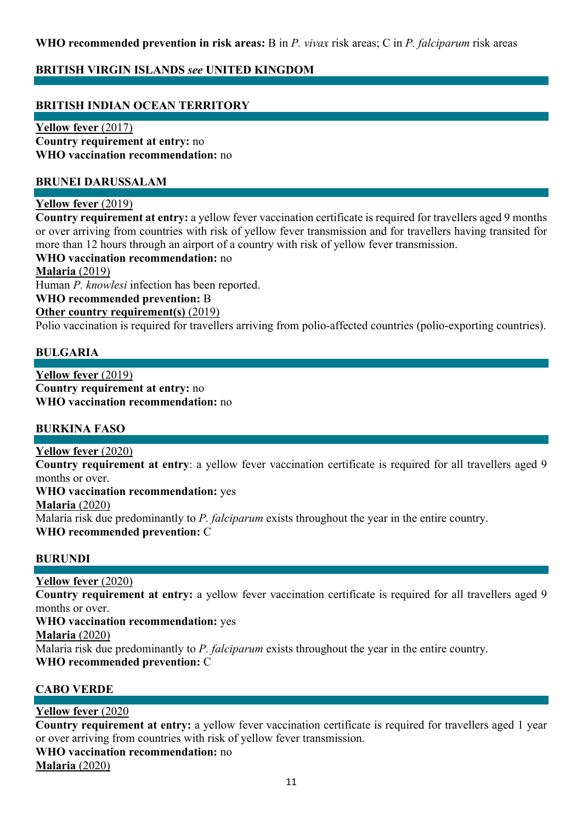# **WHO recommended prevention in risk areas:** B in *P. vivax* risk areas; C in *P. falciparum* risk areas

# **BRITISH VIRGIN ISLANDS** *see* **UNITED KINGDOM**

### **BRITISH INDIAN OCEAN TERRITORY**

**Yellow fever** (2017) **Country requirement at entry:** no **WHO vaccination recommendation:** no

#### **BRUNEI DARUSSALAM**

#### **Yellow fever** (2019)

**Country requirement at entry:** a yellow fever vaccination certificate is required for travellers aged 9 months or over arriving from countries with risk of yellow fever transmission and for travellers having transited for more than 12 hours through an airport of a country with risk of yellow fever transmission.

### **WHO vaccination recommendation:** no

#### **Malaria** (2019)

Human *P. knowlesi* infection has been reported.

#### **WHO recommended prevention:** B

#### **Other country requirement(s)** (2019)

Polio vaccination is required for travellers arriving from polio-affected countries (polio-exporting countries).

#### **BULGARIA**

**Yellow fever** (2019) **Country requirement at entry:** no **WHO vaccination recommendation:** no

#### **BURKINA FASO**

#### **Yellow fever** (2020)

**Country requirement at entry**: a yellow fever vaccination certificate is required for all travellers aged 9 months or over.

# **WHO vaccination recommendation:** yes

**Malaria** (2020)

Malaria risk due predominantly to *P. falciparum* exists throughout the year in the entire country.

**WHO recommended prevention:** C

#### **BURUNDI**

**Yellow fever** (2020)

**Country requirement at entry:** a yellow fever vaccination certificate is required for all travellers aged 9 months or over.

#### **WHO vaccination recommendation:** yes

**Malaria** (2020)

Malaria risk due predominantly to *P. falciparum* exists throughout the year in the entire country.

**WHO recommended prevention:** C

### **CABO VERDE**

### **Yellow fever** (2020

**Country requirement at entry:** a yellow fever vaccination certificate is required for travellers aged 1 year or over arriving from countries with risk of yellow fever transmission. **WHO vaccination recommendation:** no

**Malaria** (2020)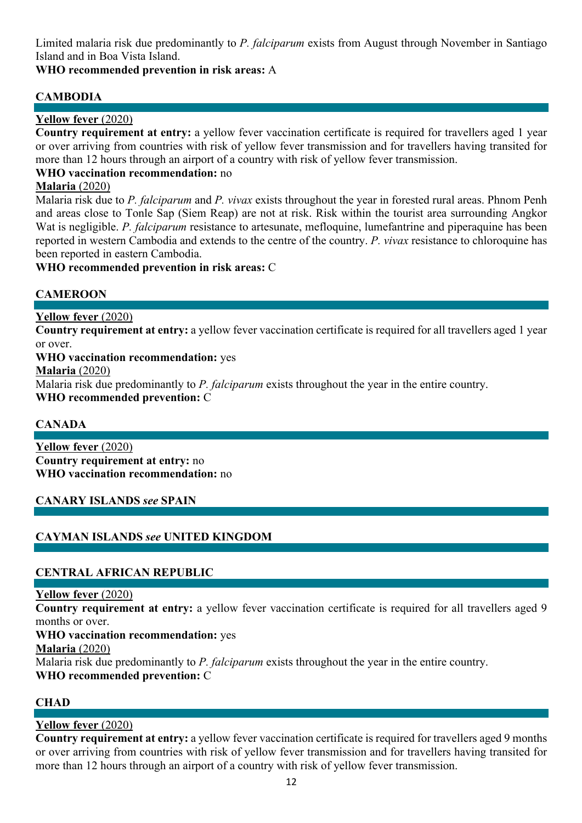Limited malaria risk due predominantly to *P. falciparum* exists from August through November in Santiago Island and in Boa Vista Island.

# **WHO recommended prevention in risk areas:** A

# **CAMBODIA**

# **Yellow fever** (2020)

**Country requirement at entry:** a yellow fever vaccination certificate is required for travellers aged 1 year or over arriving from countries with risk of yellow fever transmission and for travellers having transited for more than 12 hours through an airport of a country with risk of yellow fever transmission.

# **WHO vaccination recommendation:** no

# **Malaria** (2020)

Malaria risk due to *P. falciparum* and *P. vivax* exists throughout the year in forested rural areas. Phnom Penh and areas close to Tonle Sap (Siem Reap) are not at risk. Risk within the tourist area surrounding Angkor Wat is negligible. *P. falciparum* resistance to artesunate, mefloquine, lumefantrine and piperaquine has been reported in western Cambodia and extends to the centre of the country. *P. vivax* resistance to chloroquine has been reported in eastern Cambodia.

**WHO recommended prevention in risk areas:** C

# **CAMEROON**

**Yellow fever** (2020)

**Country requirement at entry:** a yellow fever vaccination certificate is required for all travellers aged 1 year or over.

**WHO vaccination recommendation:** yes

**Malaria** (2020)

Malaria risk due predominantly to *P. falciparum* exists throughout the year in the entire country. **WHO recommended prevention:** C

# **CANADA**

**Yellow fever** (2020) **Country requirement at entry:** no **WHO vaccination recommendation:** no

# **CANARY ISLANDS** *see* **SPAIN**

# **CAYMAN ISLANDS** *see* **UNITED KINGDOM**

# **CENTRAL AFRICAN REPUBLIC**

### **Yellow fever** (2020)

**Country requirement at entry:** a yellow fever vaccination certificate is required for all travellers aged 9 months or over.

**WHO vaccination recommendation:** yes

**Malaria** (2020)

Malaria risk due predominantly to *P. falciparum* exists throughout the year in the entire country.

**WHO recommended prevention:** C

# **CHAD**

# **Yellow fever** (2020)

**Country requirement at entry:** a yellow fever vaccination certificate is required for travellers aged 9 months or over arriving from countries with risk of yellow fever transmission and for travellers having transited for more than 12 hours through an airport of a country with risk of yellow fever transmission.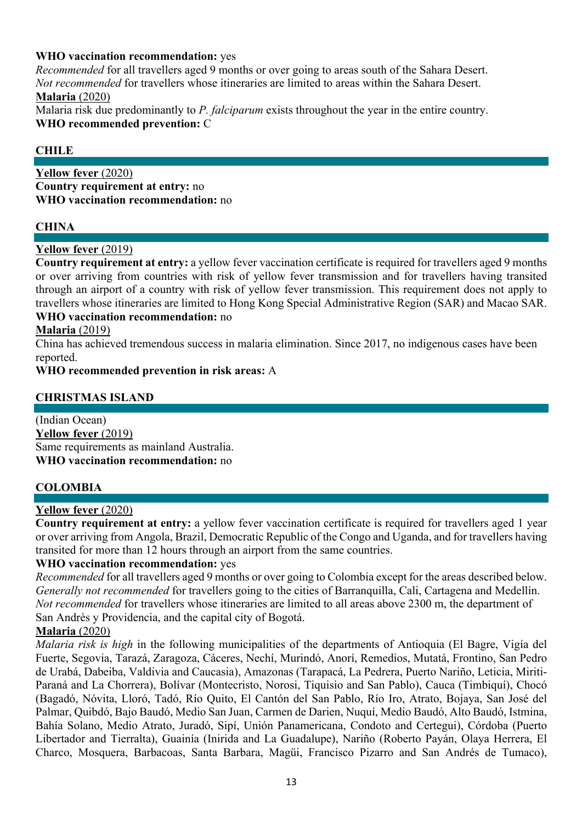# **WHO vaccination recommendation:** yes

*Recommended* for all travellers aged 9 months or over going to areas south of the Sahara Desert. *Not recommended* for travellers whose itineraries are limited to areas within the Sahara Desert. **Malaria** (2020)

Malaria risk due predominantly to *P. falciparum* exists throughout the year in the entire country. **WHO recommended prevention:** C

### **CHILE**

**Yellow fever** (2020) **Country requirement at entry:** no **WHO vaccination recommendation:** no

### **CHINA**

### **Yellow fever** (2019)

**Country requirement at entry:** a yellow fever vaccination certificate is required for travellers aged 9 months or over arriving from countries with risk of yellow fever transmission and for travellers having transited through an airport of a country with risk of yellow fever transmission. This requirement does not apply to travellers whose itineraries are limited to Hong Kong Special Administrative Region (SAR) and Macao SAR. **WHO vaccination recommendation:** no

### **Malaria** (2019)

China has achieved tremendous success in malaria elimination. Since 2017, no indigenous cases have been reported.

**WHO recommended prevention in risk areas:** A

### **CHRISTMAS ISLAND**

(Indian Ocean) **Yellow fever** (2019) Same requirements as mainland Australia. **WHO vaccination recommendation:** no

### **COLOMBIA**

### **Yellow fever** (2020)

**Country requirement at entry:** a yellow fever vaccination certificate is required for travellers aged 1 year or over arriving from Angola, Brazil, Democratic Republic of the Congo and Uganda, and for travellers having transited for more than 12 hours through an airport from the same countries.

#### **WHO vaccination recommendation:** yes

*Recommended* for all travellers aged 9 months or over going to Colombia except for the areas described below. *Generally not recommended* for travellers going to the cities of Barranquilla, Cali, Cartagena and Medellín. *Not recommended* for travellers whose itineraries are limited to all areas above 2300 m, the department of San Andrès y Providencia, and the capital city of Bogotá.

### **Malaria** (2020)

*Malaria risk is high* in the following municipalities of the departments of Antioquia (El Bagre, Vigía del Fuerte, Segovia, Tarazá, Zaragoza, Cáceres, Nechí, Murindó, Anorí, Remedios, Mutatá, Frontino, San Pedro de Urabá, Dabeiba, Valdivia and Caucasia), Amazonas (Tarapacá, La Pedrera, Puerto Nariño, Leticia, Miriti-Paraná and La Chorrera), Bolívar (Montecristo, Norosi, Tiquisio and San Pablo), Cauca (Timbiquí), Chocó (Bagadó, Nóvita, Lloró, Tadó, Río Quito, El Cantón del San Pablo, Río Iro, Atrato, Bojaya, San José del Palmar, Quibdó, Bajo Baudó, Medio San Juan, Carmen de Darien, Nuquí, Medio Baudó, Alto Baudó, Istmina, Bahía Solano, Medio Atrato, Juradó, Sipí, Unión Panamericana, Condoto and Certegui), Córdoba (Puerto Libertador and Tierralta), Guainía (Inirida and La Guadalupe), Nariño (Roberto Payán, Olaya Herrera, El Charco, Mosquera, Barbacoas, Santa Barbara, Magüi, Francisco Pizarro and San Andrés de Tumaco),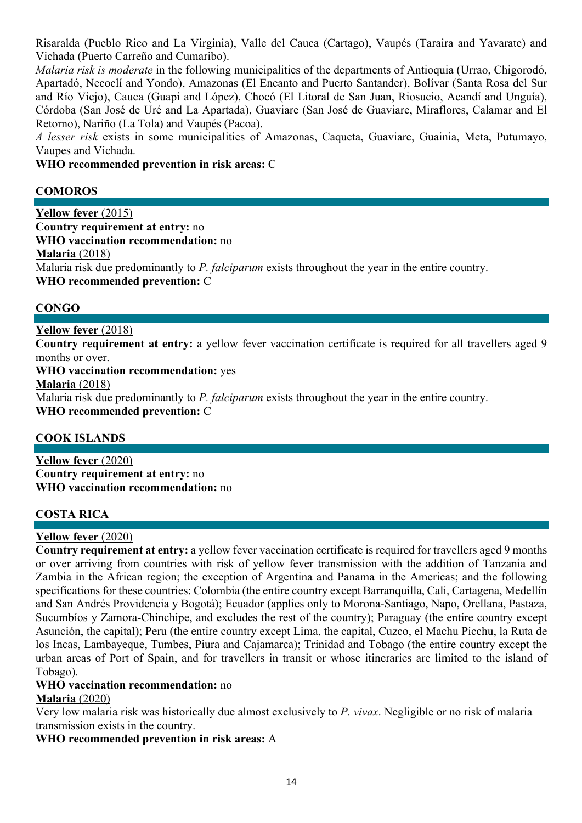Risaralda (Pueblo Rico and La Virginia), Valle del Cauca (Cartago), Vaupés (Taraira and Yavarate) and Vichada (Puerto Carreño and Cumaribo).

*Malaria risk is moderate* in the following municipalities of the departments of Antioquia (Urrao, Chigorodó, Apartadó, Necoclí and Yondo), Amazonas (El Encanto and Puerto Santander), Bolívar (Santa Rosa del Sur and Río Viejo), Cauca (Guapi and López), Chocó (El Litoral de San Juan, Riosucio, Acandí and Unguía), Córdoba (San José de Uré and La Apartada), Guaviare (San José de Guaviare, Miraflores, Calamar and El Retorno), Nariño (La Tola) and Vaupés (Pacoa).

*A lesser risk* exists in some municipalities of Amazonas, Caqueta, Guaviare, Guainia, Meta, Putumayo, Vaupes and Vichada.

**WHO recommended prevention in risk areas:** C

# **COMOROS**

**Yellow fever** (2015) **Country requirement at entry:** no **WHO vaccination recommendation:** no **Malaria** (2018) Malaria risk due predominantly to *P. falciparum* exists throughout the year in the entire country. **WHO recommended prevention:** C

# **CONGO**

**Yellow fever** (2018)

**Country requirement at entry:** a yellow fever vaccination certificate is required for all travellers aged 9 months or over.

**WHO vaccination recommendation:** yes

**Malaria** (2018)

Malaria risk due predominantly to *P. falciparum* exists throughout the year in the entire country.

**WHO recommended prevention:** C

# **COOK ISLANDS**

**Yellow fever** (2020) **Country requirement at entry:** no **WHO vaccination recommendation:** no

# **COSTA RICA**

### **Yellow fever** (2020)

**Country requirement at entry:** a yellow fever vaccination certificate is required for travellers aged 9 months or over arriving from countries with risk of yellow fever transmission with the addition of Tanzania and Zambia in the African region; the exception of Argentina and Panama in the Americas; and the following specifications for these countries: Colombia (the entire country except Barranquilla, Cali, Cartagena, Medellín and San Andrés Providencia y Bogotá); Ecuador (applies only to Morona-Santiago, Napo, Orellana, Pastaza, Sucumbíos y Zamora-Chinchipe, and excludes the rest of the country); Paraguay (the entire country except Asunción, the capital); Peru (the entire country except Lima, the capital, Cuzco, el Machu Picchu, la Ruta de los Incas, Lambayeque, Tumbes, Piura and Cajamarca); Trinidad and Tobago (the entire country except the urban areas of Port of Spain, and for travellers in transit or whose itineraries are limited to the island of Tobago).

#### **WHO vaccination recommendation:** no **Malaria** (2020)

Very low malaria risk was historically due almost exclusively to *P. vivax*. Negligible or no risk of malaria transmission exists in the country.

**WHO recommended prevention in risk areas:** A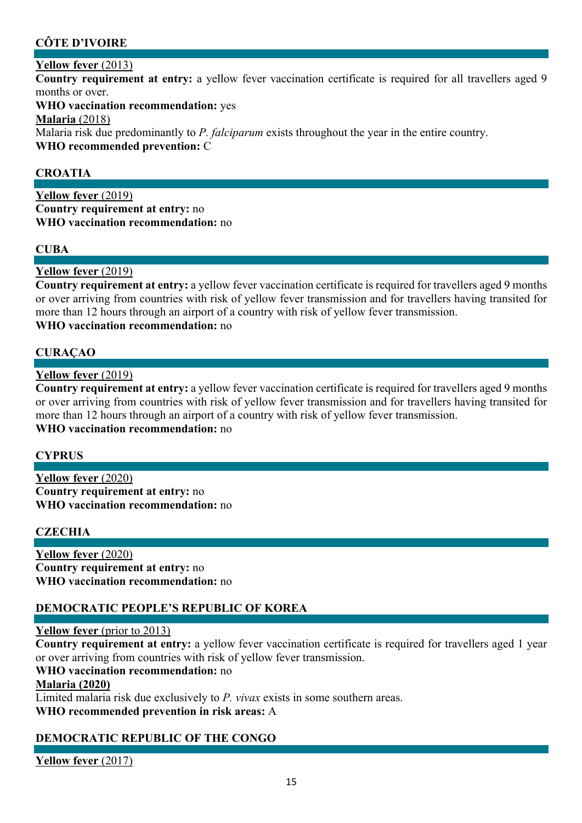# **CÔTE D'IVOIRE**

# **Yellow fever** (2013)

**Country requirement at entry:** a yellow fever vaccination certificate is required for all travellers aged 9 months or over.

**WHO vaccination recommendation:** yes

**Malaria** (2018)

Malaria risk due predominantly to *P. falciparum* exists throughout the year in the entire country. **WHO recommended prevention:** C

# **CROATIA**

**Yellow fever** (2019) **Country requirement at entry:** no **WHO vaccination recommendation:** no

# **CUBA**

**Yellow fever** (2019)

**Country requirement at entry:** a yellow fever vaccination certificate is required for travellers aged 9 months or over arriving from countries with risk of yellow fever transmission and for travellers having transited for more than 12 hours through an airport of a country with risk of yellow fever transmission. **WHO vaccination recommendation:** no

# **CURAÇAO**

**Yellow fever** (2019)

**Country requirement at entry:** a yellow fever vaccination certificate is required for travellers aged 9 months or over arriving from countries with risk of yellow fever transmission and for travellers having transited for more than 12 hours through an airport of a country with risk of yellow fever transmission. **WHO vaccination recommendation:** no

# **CYPRUS**

**Yellow fever** (2020) **Country requirement at entry:** no **WHO vaccination recommendation:** no

# **CZECHIA**

**Yellow fever** (2020) **Country requirement at entry:** no **WHO vaccination recommendation:** no

# **DEMOCRATIC PEOPLE'S REPUBLIC OF KOREA**

### **Yellow fever** (prior to 2013)

**Country requirement at entry:** a yellow fever vaccination certificate is required for travellers aged 1 year or over arriving from countries with risk of yellow fever transmission.

### **WHO vaccination recommendation:** no

#### **Malaria (2020)**

Limited malaria risk due exclusively to *P. vivax* exists in some southern areas. **WHO recommended prevention in risk areas:** A

# **DEMOCRATIC REPUBLIC OF THE CONGO**

**Yellow fever** (2017)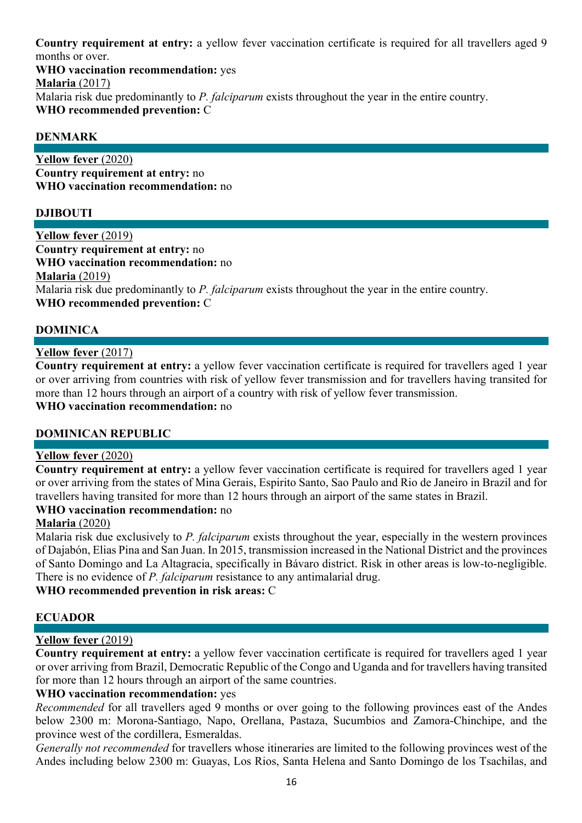**Country requirement at entry:** a yellow fever vaccination certificate is required for all travellers aged 9 months or over.

**WHO vaccination recommendation:** yes

**Malaria** (2017)

Malaria risk due predominantly to *P. falciparum* exists throughout the year in the entire country.

**WHO recommended prevention:** C

# **DENMARK**

**Yellow fever** (2020) **Country requirement at entry:** no **WHO vaccination recommendation:** no

# **DJIBOUTI**

**Yellow fever** (2019) **Country requirement at entry:** no **WHO vaccination recommendation:** no **Malaria** (2019) Malaria risk due predominantly to *P. falciparum* exists throughout the year in the entire country. **WHO recommended prevention:** C

### **DOMINICA**

#### **Yellow fever** (2017)

**Country requirement at entry:** a yellow fever vaccination certificate is required for travellers aged 1 year or over arriving from countries with risk of yellow fever transmission and for travellers having transited for more than 12 hours through an airport of a country with risk of yellow fever transmission.

# **WHO vaccination recommendation:** no

#### **DOMINICAN REPUBLIC**

#### **Yellow fever** (2020)

**Country requirement at entry:** a yellow fever vaccination certificate is required for travellers aged 1 year or over arriving from the states of Mina Gerais, Espirito Santo, Sao Paulo and Rio de Janeiro in Brazil and for travellers having transited for more than 12 hours through an airport of the same states in Brazil.

#### **WHO vaccination recommendation:** no

### **Malaria** (2020)

Malaria risk due exclusively to *P. falciparum* exists throughout the year, especially in the western provinces of Dajabón, Elias Pina and San Juan. In 2015, transmission increased in the National District and the provinces of Santo Domingo and La Altagracia, specifically in Bávaro district. Risk in other areas is low-to-negligible. There is no evidence of *P. falciparum* resistance to any antimalarial drug.

### **WHO recommended prevention in risk areas:** C

# **ECUADOR**

### **Yellow fever** (2019)

**Country requirement at entry:** a yellow fever vaccination certificate is required for travellers aged 1 year or over arriving from Brazil, Democratic Republic of the Congo and Uganda and for travellers having transited for more than 12 hours through an airport of the same countries.

### **WHO vaccination recommendation:** yes

*Recommended* for all travellers aged 9 months or over going to the following provinces east of the Andes below 2300 m: Morona-Santiago, Napo, Orellana, Pastaza, Sucumbios and Zamora-Chinchipe, and the province west of the cordillera, Esmeraldas.

*Generally not recommended* for travellers whose itineraries are limited to the following provinces west of the Andes including below 2300 m: Guayas, Los Rios, Santa Helena and Santo Domingo de los Tsachilas, and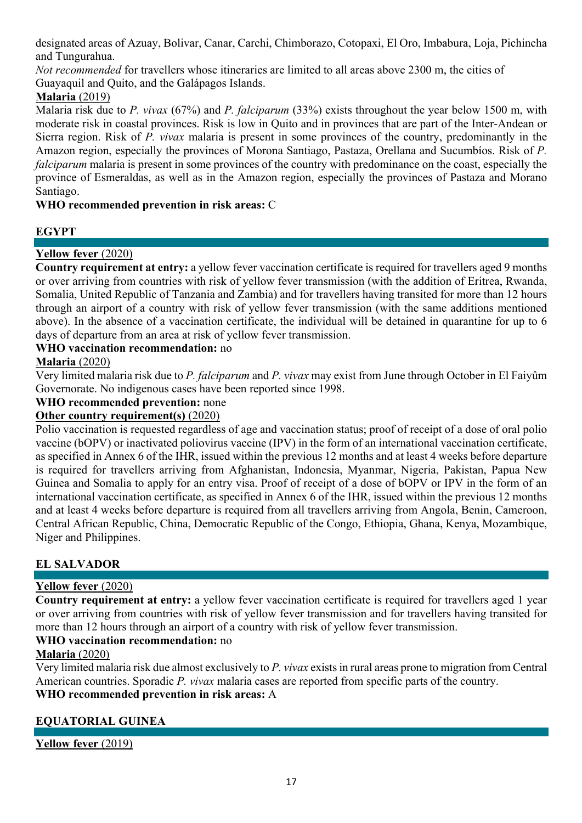designated areas of Azuay, Bolivar, Canar, Carchi, Chimborazo, Cotopaxi, El Oro, Imbabura, Loja, Pichincha and Tungurahua.

*Not recommended* for travellers whose itineraries are limited to all areas above 2300 m, the cities of Guayaquil and Quito, and the Galápagos Islands.

# **Malaria** (2019)

Malaria risk due to *P. vivax* (67%) and *P. falciparum* (33%) exists throughout the year below 1500 m, with moderate risk in coastal provinces. Risk is low in Quito and in provinces that are part of the Inter-Andean or Sierra region. Risk of *P. vivax* malaria is present in some provinces of the country, predominantly in the Amazon region, especially the provinces of Morona Santiago, Pastaza, Orellana and Sucumbíos. Risk of *P. falciparum* malaria is present in some provinces of the country with predominance on the coast, especially the province of Esmeraldas, as well as in the Amazon region, especially the provinces of Pastaza and Morano Santiago.

# **WHO recommended prevention in risk areas:** C

# **EGYPT**

# **Yellow fever** (2020)

**Country requirement at entry:** a yellow fever vaccination certificate is required for travellers aged 9 months or over arriving from countries with risk of yellow fever transmission (with the addition of Eritrea, Rwanda, Somalia, United Republic of Tanzania and Zambia) and for travellers having transited for more than 12 hours through an airport of a country with risk of yellow fever transmission (with the same additions mentioned above). In the absence of a vaccination certificate, the individual will be detained in quarantine for up to 6 days of departure from an area at risk of yellow fever transmission.

# **WHO vaccination recommendation:** no

# **Malaria** (2020)

Very limited malaria risk due to *P. falciparum* and *P. vivax* may exist from June through October in El Faiyûm Governorate. No indigenous cases have been reported since 1998.

# **WHO recommended prevention:** none

# **Other country requirement(s)** (2020)

Polio vaccination is requested regardless of age and vaccination status; proof of receipt of a dose of oral polio vaccine (bOPV) or inactivated poliovirus vaccine (IPV) in the form of an international vaccination certificate, as specified in Annex 6 of the IHR, issued within the previous 12 months and at least 4 weeks before departure is required for travellers arriving from Afghanistan, Indonesia, Myanmar, Nigeria, Pakistan, Papua New Guinea and Somalia to apply for an entry visa. Proof of receipt of a dose of bOPV or IPV in the form of an international vaccination certificate, as specified in Annex 6 of the IHR, issued within the previous 12 months and at least 4 weeks before departure is required from all travellers arriving from Angola, Benin, Cameroon, Central African Republic, China, Democratic Republic of the Congo, Ethiopia, Ghana, Kenya, Mozambique, Niger and Philippines.

# **EL SALVADOR**

# **Yellow fever** (2020)

**Country requirement at entry:** a yellow fever vaccination certificate is required for travellers aged 1 year or over arriving from countries with risk of yellow fever transmission and for travellers having transited for more than 12 hours through an airport of a country with risk of yellow fever transmission.

# **WHO vaccination recommendation:** no

# **Malaria** (2020)

Very limited malaria risk due almost exclusively to *P. vivax* exists in rural areas prone to migration from Central American countries. Sporadic *P. vivax* malaria cases are reported from specific parts of the country. **WHO recommended prevention in risk areas:** A

# **EQUATORIAL GUINEA**

**Yellow fever** (2019)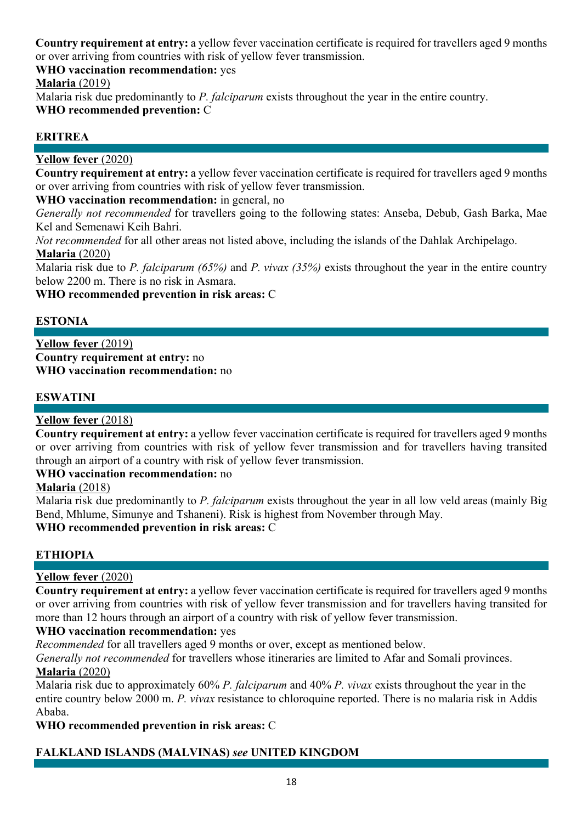**Country requirement at entry:** a yellow fever vaccination certificate is required for travellers aged 9 months or over arriving from countries with risk of yellow fever transmission.

**WHO vaccination recommendation:** yes

**Malaria** (2019)

Malaria risk due predominantly to *P. falciparum* exists throughout the year in the entire country. **WHO recommended prevention:** C

# **ERITREA**

# **Yellow fever** (2020)

**Country requirement at entry:** a yellow fever vaccination certificate is required for travellers aged 9 months or over arriving from countries with risk of yellow fever transmission.

**WHO vaccination recommendation:** in general, no

*Generally not recommended* for travellers going to the following states: Anseba, Debub, Gash Barka, Mae Kel and Semenawi Keih Bahri.

*Not recommended* for all other areas not listed above, including the islands of the Dahlak Archipelago. **Malaria** (2020)

Malaria risk due to *P. falciparum (65%)* and *P. vivax (35%)* exists throughout the year in the entire country below 2200 m. There is no risk in Asmara.

**WHO recommended prevention in risk areas:** C

# **ESTONIA**

**Yellow fever** (2019) **Country requirement at entry:** no **WHO vaccination recommendation:** no

# **ESWATINI**

# **Yellow fever** (2018)

**Country requirement at entry:** a yellow fever vaccination certificate is required for travellers aged 9 months or over arriving from countries with risk of yellow fever transmission and for travellers having transited through an airport of a country with risk of yellow fever transmission.

# **WHO vaccination recommendation:** no

# **Malaria** (2018)

Malaria risk due predominantly to *P. falciparum* exists throughout the year in all low veld areas (mainly Big Bend, Mhlume, Simunye and Tshaneni). Risk is highest from November through May.

# **WHO recommended prevention in risk areas:** C

# **ETHIOPIA**

# **Yellow fever** (2020)

**Country requirement at entry:** a yellow fever vaccination certificate is required for travellers aged 9 months or over arriving from countries with risk of yellow fever transmission and for travellers having transited for more than 12 hours through an airport of a country with risk of yellow fever transmission.

# **WHO vaccination recommendation:** yes

*Recommended* for all travellers aged 9 months or over, except as mentioned below.

*Generally not recommended* for travellers whose itineraries are limited to Afar and Somali provinces.

# **Malaria** (2020)

Malaria risk due to approximately 60% *P. falciparum* and 40% *P. vivax* exists throughout the year in the entire country below 2000 m. *P. vivax* resistance to chloroquine reported. There is no malaria risk in Addis Ababa.

**WHO recommended prevention in risk areas:** C

# **FALKLAND ISLANDS (MALVINAS)** *see* **UNITED KINGDOM**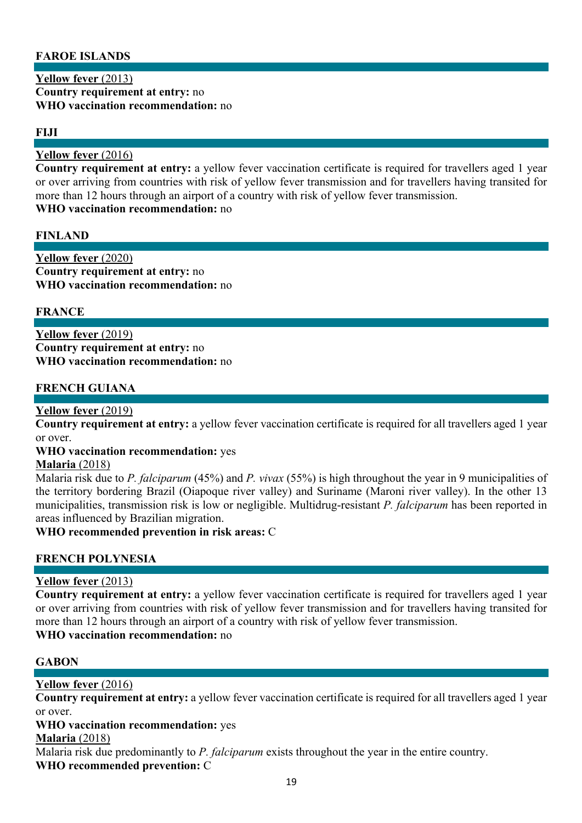# **FAROE ISLANDS**

**Yellow fever** (2013) **Country requirement at entry:** no **WHO vaccination recommendation:** no

#### **FIJI**

#### **Yellow fever** (2016)

**Country requirement at entry:** a yellow fever vaccination certificate is required for travellers aged 1 year or over arriving from countries with risk of yellow fever transmission and for travellers having transited for more than 12 hours through an airport of a country with risk of yellow fever transmission. **WHO vaccination recommendation:** no

#### **FINLAND**

**Yellow fever** (2020) **Country requirement at entry:** no **WHO vaccination recommendation:** no

#### **FRANCE**

**Yellow fever** (2019) **Country requirement at entry:** no **WHO vaccination recommendation:** no

#### **FRENCH GUIANA**

#### **Yellow fever** (2019)

**Country requirement at entry:** a yellow fever vaccination certificate is required for all travellers aged 1 year or over.

### **WHO vaccination recommendation:** yes

#### **Malaria** (2018)

Malaria risk due to *P. falciparum* (45%) and *P. vivax* (55%) is high throughout the year in 9 municipalities of the territory bordering Brazil (Oiapoque river valley) and Suriname (Maroni river valley). In the other 13 municipalities, transmission risk is low or negligible. Multidrug-resistant *P. falciparum* has been reported in areas influenced by Brazilian migration.

**WHO recommended prevention in risk areas:** C

#### **FRENCH POLYNESIA**

#### **Yellow fever** (2013)

**Country requirement at entry:** a yellow fever vaccination certificate is required for travellers aged 1 year or over arriving from countries with risk of yellow fever transmission and for travellers having transited for more than 12 hours through an airport of a country with risk of yellow fever transmission.

#### **WHO vaccination recommendation:** no

#### **GABON**

### **Yellow fever** (2016)

**Country requirement at entry:** a yellow fever vaccination certificate is required for all travellers aged 1 year or over.

#### **WHO vaccination recommendation:** yes

#### **Malaria** (2018)

Malaria risk due predominantly to *P. falciparum* exists throughout the year in the entire country.

**WHO recommended prevention:** C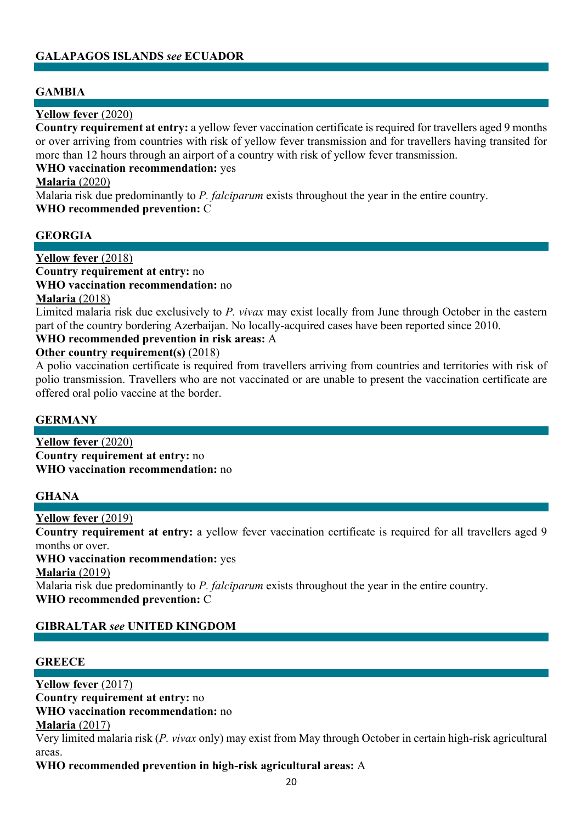# **GALAPAGOS ISLANDS** *see* **ECUADOR**

### **GAMBIA**

#### **Yellow fever** (2020)

**Country requirement at entry:** a yellow fever vaccination certificate is required for travellers aged 9 months or over arriving from countries with risk of yellow fever transmission and for travellers having transited for more than 12 hours through an airport of a country with risk of yellow fever transmission.

#### **WHO vaccination recommendation:** yes

#### **Malaria** (2020)

Malaria risk due predominantly to *P. falciparum* exists throughout the year in the entire country. **WHO recommended prevention:** C

#### **GEORGIA**

#### **Yellow fever** (2018) **Country requirement at entry:** no

**WHO vaccination recommendation:** no

#### **Malaria** (2018)

Limited malaria risk due exclusively to *P. vivax* may exist locally from June through October in the eastern part of the country bordering Azerbaijan. No locally-acquired cases have been reported since 2010.

#### **WHO recommended prevention in risk areas:** A

#### **Other country requirement(s)** (2018)

A polio vaccination certificate is required from travellers arriving from countries and territories with risk of polio transmission. Travellers who are not vaccinated or are unable to present the vaccination certificate are offered oral polio vaccine at the border.

#### **GERMANY**

**Yellow fever** (2020) **Country requirement at entry:** no **WHO vaccination recommendation:** no

### **GHANA**

#### **Yellow fever** (2019)

**Country requirement at entry:** a yellow fever vaccination certificate is required for all travellers aged 9 months or over.

**WHO vaccination recommendation:** yes

**Malaria** (2019)

Malaria risk due predominantly to *P. falciparum* exists throughout the year in the entire country. **WHO recommended prevention:** C

### **GIBRALTAR** *see* **UNITED KINGDOM**

#### **GREECE**

#### **Yellow fever** (2017)

**Country requirement at entry:** no **WHO vaccination recommendation:** no

#### **Malaria** (2017)

Very limited malaria risk (*P. vivax* only) may exist from May through October in certain high-risk agricultural areas.

**WHO recommended prevention in high-risk agricultural areas:** A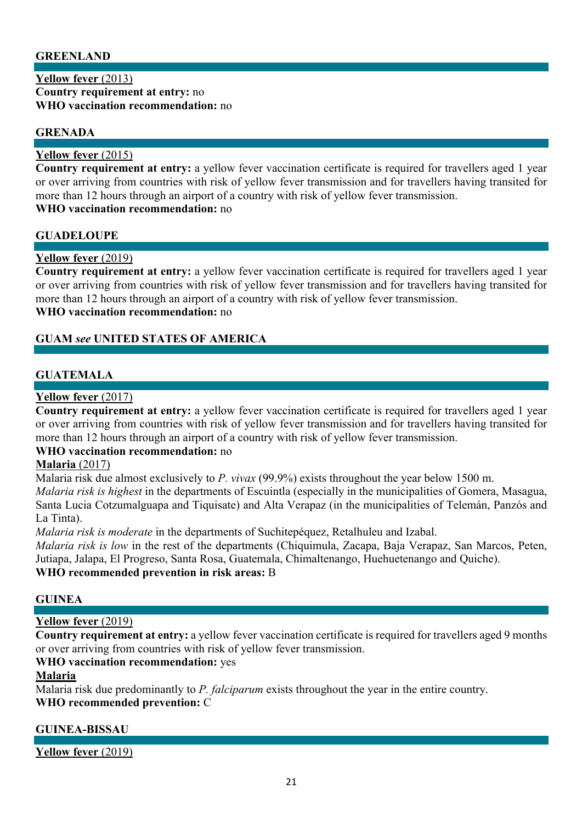### **GREENLAND**

#### **Yellow fever** (2013) **Country requirement at entry:** no **WHO vaccination recommendation:** no

### **GRENADA**

### **Yellow fever** (2015)

**Country requirement at entry:** a yellow fever vaccination certificate is required for travellers aged 1 year or over arriving from countries with risk of yellow fever transmission and for travellers having transited for more than 12 hours through an airport of a country with risk of yellow fever transmission. **WHO vaccination recommendation:** no

#### **GUADELOUPE**

#### **Yellow fever** (2019)

**Country requirement at entry:** a yellow fever vaccination certificate is required for travellers aged 1 year or over arriving from countries with risk of yellow fever transmission and for travellers having transited for more than 12 hours through an airport of a country with risk of yellow fever transmission. **WHO vaccination recommendation:** no

### **GUAM** *see* **UNITED STATES OF AMERICA**

### **GUATEMALA**

### **Yellow fever** (2017)

**Country requirement at entry:** a yellow fever vaccination certificate is required for travellers aged 1 year or over arriving from countries with risk of yellow fever transmission and for travellers having transited for more than 12 hours through an airport of a country with risk of yellow fever transmission.

### **WHO vaccination recommendation:** no

# **Malaria** (2017)

Malaria risk due almost exclusively to *P. vivax* (99.9%) exists throughout the year below 1500 m. *Malaria risk is highest* in the departments of Escuintla (especially in the municipalities of Gomera, Masagua, Santa Lucia Cotzumalguapa and Tiquisate) and Alta Verapaz (in the municipalities of Telemán, Panzós and La Tinta).

*Malaria risk is moderate* in the departments of Suchitepéquez, Retalhuleu and Izabal.

*Malaria risk is low* in the rest of the departments (Chiquimula, Zacapa, Baja Verapaz, San Marcos, Peten, Jutiapa, Jalapa, El Progreso, Santa Rosa, Guatemala, Chimaltenango, Huehuetenango and Quiche).

### **WHO recommended prevention in risk areas:** B

#### **GUINEA**

#### **Yellow fever** (2019)

**Country requirement at entry:** a yellow fever vaccination certificate is required for travellers aged 9 months or over arriving from countries with risk of yellow fever transmission.

#### **WHO vaccination recommendation:** yes

#### **Malaria**

Malaria risk due predominantly to *P. falciparum* exists throughout the year in the entire country. **WHO recommended prevention:** C

### **GUINEA-BISSAU**

**Yellow fever** (2019)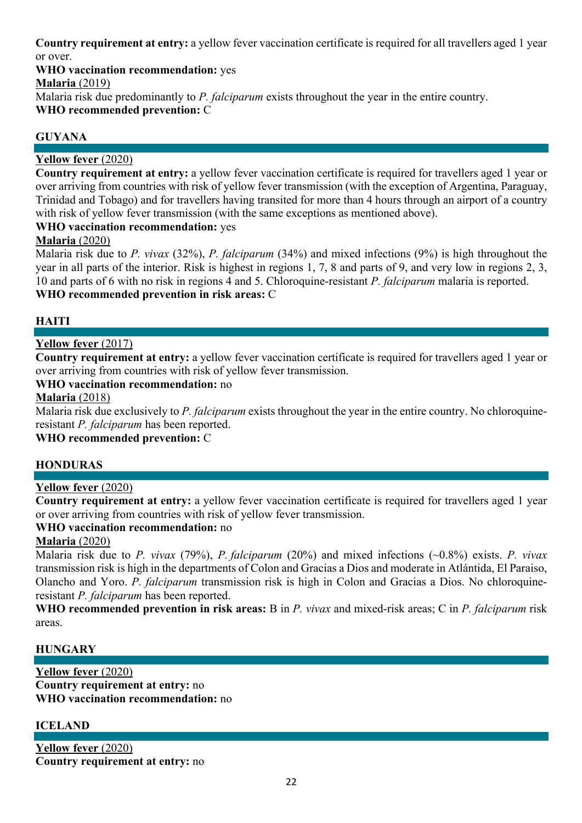**Country requirement at entry:** a yellow fever vaccination certificate is required for all travellers aged 1 year or over.

**WHO vaccination recommendation:** yes

**Malaria** (2019)

Malaria risk due predominantly to *P. falciparum* exists throughout the year in the entire country.

**WHO recommended prevention:** C

# **GUYANA**

# **Yellow fever** (2020)

**Country requirement at entry:** a yellow fever vaccination certificate is required for travellers aged 1 year or over arriving from countries with risk of yellow fever transmission (with the exception of Argentina, Paraguay, Trinidad and Tobago) and for travellers having transited for more than 4 hours through an airport of a country with risk of yellow fever transmission (with the same exceptions as mentioned above).

# **WHO vaccination recommendation:** yes

# **Malaria** (2020)

Malaria risk due to *P. vivax* (32%), *P. falciparum* (34%) and mixed infections (9%) is high throughout the year in all parts of the interior. Risk is highest in regions 1, 7, 8 and parts of 9, and very low in regions 2, 3, 10 and parts of 6 with no risk in regions 4 and 5. Chloroquine-resistant *P. falciparum* malaria is reported. **WHO recommended prevention in risk areas:** C

# **HAITI**

# **Yellow fever** (2017)

**Country requirement at entry:** a yellow fever vaccination certificate is required for travellers aged 1 year or over arriving from countries with risk of yellow fever transmission.

# **WHO vaccination recommendation:** no

# **Malaria** (2018)

Malaria risk due exclusively to *P. falciparum* exists throughout the year in the entire country. No chloroquineresistant *P. falciparum* has been reported.

**WHO recommended prevention:** C

# **HONDURAS**

# **Yellow fever** (2020)

**Country requirement at entry:** a yellow fever vaccination certificate is required for travellers aged 1 year or over arriving from countries with risk of yellow fever transmission.

### **WHO vaccination recommendation:** no

# **Malaria** (2020)

Malaria risk due to *P. vivax* (79%), *P. falciparum* (20%) and mixed infections (~0.8%) exists. *P. vivax* transmission risk is high in the departments of Colon and Gracias a Dios and moderate in Atlántida, El Paraiso, Olancho and Yoro. *P. falciparum* transmission risk is high in Colon and Gracias a Dios. No chloroquineresistant *P. falciparum* has been reported.

**WHO recommended prevention in risk areas:** B in *P. vivax* and mixed-risk areas; C in *P. falciparum* risk areas.

### **HUNGARY**

**Yellow fever** (2020) **Country requirement at entry:** no **WHO vaccination recommendation:** no

# **ICELAND**

**Yellow fever** (2020) **Country requirement at entry:** no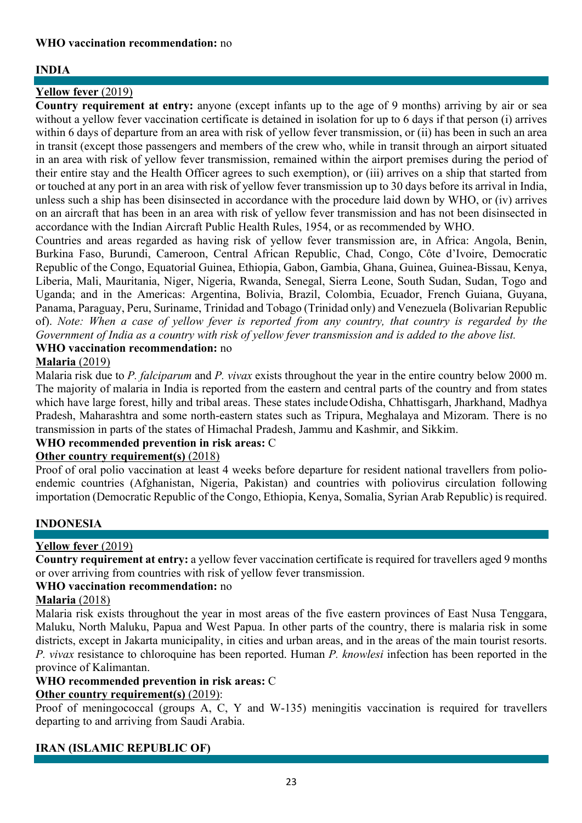# **INDIA**

# **Yellow fever** (2019)

**Country requirement at entry:** anyone (except infants up to the age of 9 months) arriving by air or sea without a yellow fever vaccination certificate is detained in isolation for up to 6 days if that person (i) arrives within 6 days of departure from an area with risk of yellow fever transmission, or (ii) has been in such an area in transit (except those passengers and members of the crew who, while in transit through an airport situated in an area with risk of yellow fever transmission, remained within the airport premises during the period of their entire stay and the Health Officer agrees to such exemption), or (iii) arrives on a ship that started from or touched at any port in an area with risk of yellow fever transmission up to 30 days before its arrival in India, unless such a ship has been disinsected in accordance with the procedure laid down by WHO, or (iv) arrives on an aircraft that has been in an area with risk of yellow fever transmission and has not been disinsected in accordance with the Indian Aircraft Public Health Rules, 1954, or as recommended by WHO.

Countries and areas regarded as having risk of yellow fever transmission are, in Africa: Angola, Benin, Burkina Faso, Burundi, Cameroon, Central African Republic, Chad, Congo, Côte d'Ivoire, Democratic Republic of the Congo, Equatorial Guinea, Ethiopia, Gabon, Gambia, Ghana, Guinea, Guinea-Bissau, Kenya, Liberia, Mali, Mauritania, Niger, Nigeria, Rwanda, Senegal, Sierra Leone, South Sudan, Sudan, Togo and Uganda; and in the Americas: Argentina, Bolivia, Brazil, Colombia, Ecuador, French Guiana, Guyana, Panama, Paraguay, Peru, Suriname, Trinidad and Tobago (Trinidad only) and Venezuela (Bolivarian Republic of). *Note: When a case of yellow fever is reported from any country, that country is regarded by the Government of India as a country with risk of yellow fever transmission and is added to the above list.* 

# **WHO vaccination recommendation:** no

### **Malaria** (2019)

Malaria risk due to *P. falciparum* and *P. vivax* exists throughout the year in the entire country below 2000 m. The majority of malaria in India is reported from the eastern and central parts of the country and from states which have large forest, hilly and tribal areas. These states include Odisha, Chhattisgarh, Jharkhand, Madhya Pradesh, Maharashtra and some north-eastern states such as Tripura, Meghalaya and Mizoram. There is no transmission in parts of the states of Himachal Pradesh, Jammu and Kashmir, and Sikkim.

### **WHO recommended prevention in risk areas:** C

### **Other country requirement(s)** (2018)

Proof of oral polio vaccination at least 4 weeks before departure for resident national travellers from polioendemic countries (Afghanistan, Nigeria, Pakistan) and countries with poliovirus circulation following importation (Democratic Republic of the Congo, Ethiopia, Kenya, Somalia, Syrian Arab Republic) is required.

# **INDONESIA**

# **Yellow fever** (2019)

**Country requirement at entry:** a yellow fever vaccination certificate is required for travellers aged 9 months or over arriving from countries with risk of yellow fever transmission.

### **WHO vaccination recommendation:** no

### **Malaria** (2018)

Malaria risk exists throughout the year in most areas of the five eastern provinces of East Nusa Tenggara, Maluku, North Maluku, Papua and West Papua. In other parts of the country, there is malaria risk in some districts, except in Jakarta municipality, in cities and urban areas, and in the areas of the main tourist resorts. *P. vivax* resistance to chloroquine has been reported. Human *P. knowlesi* infection has been reported in the province of Kalimantan.

### **WHO recommended prevention in risk areas:** C

### **Other country requirement(s)** (2019):

Proof of meningococcal (groups A, C, Y and W-135) meningitis vaccination is required for travellers departing to and arriving from Saudi Arabia.

# **IRAN (ISLAMIC REPUBLIC OF)**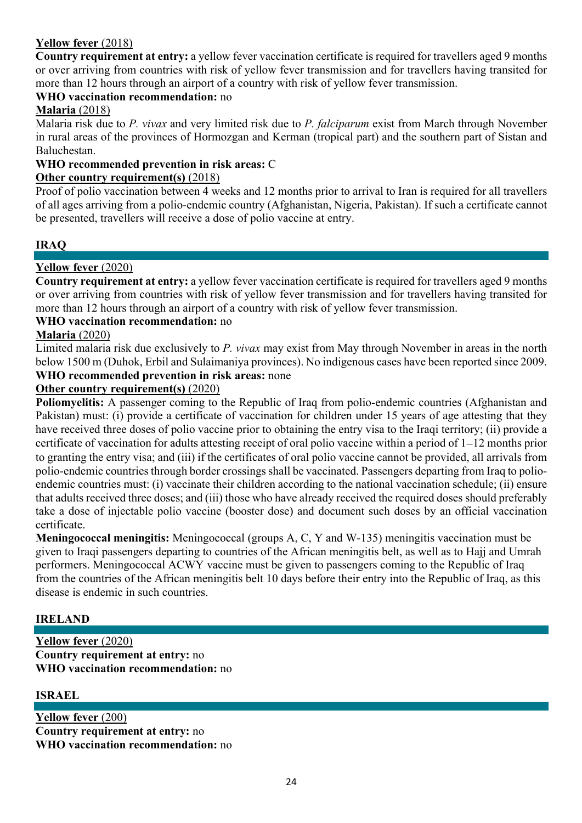# **Yellow fever** (2018)

**Country requirement at entry:** a yellow fever vaccination certificate is required for travellers aged 9 months or over arriving from countries with risk of yellow fever transmission and for travellers having transited for more than 12 hours through an airport of a country with risk of yellow fever transmission.

# **WHO vaccination recommendation:** no

# **Malaria** (2018)

Malaria risk due to *P. vivax* and very limited risk due to *P. falciparum* exist from March through November in rural areas of the provinces of Hormozgan and Kerman (tropical part) and the southern part of Sistan and Baluchestan.

#### **WHO recommended prevention in risk areas:** C

#### **Other country requirement(s)** (2018)

Proof of polio vaccination between 4 weeks and 12 months prior to arrival to Iran is required for all travellers of all ages arriving from a polio-endemic country (Afghanistan, Nigeria, Pakistan). If such a certificate cannot be presented, travellers will receive a dose of polio vaccine at entry.

### **IRAQ**

# **Yellow fever** (2020)

**Country requirement at entry:** a yellow fever vaccination certificate is required for travellers aged 9 months or over arriving from countries with risk of yellow fever transmission and for travellers having transited for more than 12 hours through an airport of a country with risk of yellow fever transmission.

#### **WHO vaccination recommendation:** no

### **Malaria** (2020)

Limited malaria risk due exclusively to *P. vivax* may exist from May through November in areas in the north below 1500 m (Duhok, Erbil and Sulaimaniya provinces). No indigenous cases have been reported since 2009.

# **WHO recommended prevention in risk areas:** none

### **Other country requirement(s)** (2020)

**Poliomyelitis:** A passenger coming to the Republic of Iraq from polio-endemic countries (Afghanistan and Pakistan) must: (i) provide a certificate of vaccination for children under 15 years of age attesting that they have received three doses of polio vaccine prior to obtaining the entry visa to the Iraqi territory; (ii) provide a certificate of vaccination for adults attesting receipt of oral polio vaccine within a period of 1-12 months prior to granting the entry visa; and (iii) if the certificates of oral polio vaccine cannot be provided, all arrivals from polio-endemic countries through border crossings shall be vaccinated. Passengers departing from Iraq to polioendemic countries must: (i) vaccinate their children according to the national vaccination schedule; (ii) ensure that adults received three doses; and (iii) those who have already received the required doses should preferably take a dose of injectable polio vaccine (booster dose) and document such doses by an official vaccination certificate.

**Meningococcal meningitis:** Meningococcal (groups A, C, Y and W-135) meningitis vaccination must be given to Iraqi passengers departing to countries of the African meningitis belt, as well as to Hajj and Umrah performers. Meningococcal ACWY vaccine must be given to passengers coming to the Republic of Iraq from the countries of the African meningitis belt 10 days before their entry into the Republic of Iraq, as this disease is endemic in such countries.

### **IRELAND**

**Yellow fever** (2020) **Country requirement at entry:** no **WHO vaccination recommendation:** no

### **ISRAEL**

**Yellow fever** (200) **Country requirement at entry:** no **WHO vaccination recommendation:** no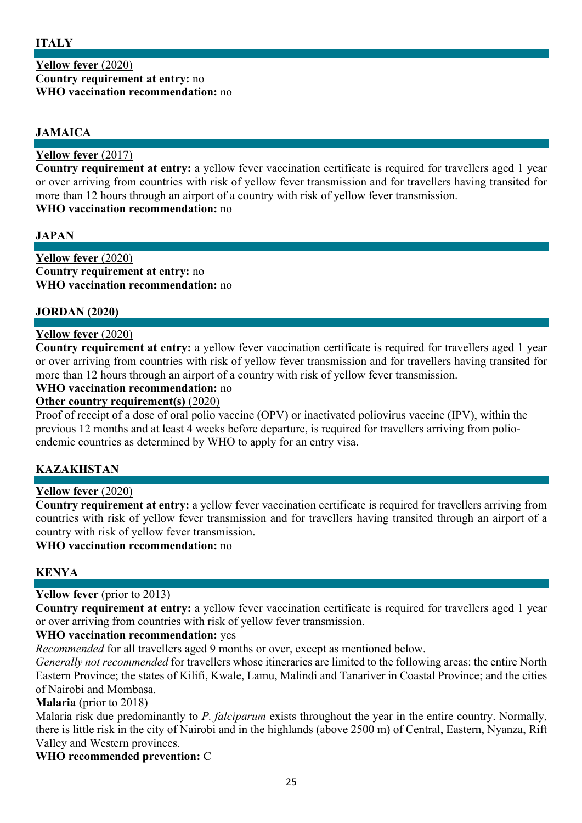### **Yellow fever** (2020) **Country requirement at entry:** no **WHO vaccination recommendation:** no

# **JAMAICA**

### **Yellow fever** (2017)

**Country requirement at entry:** a yellow fever vaccination certificate is required for travellers aged 1 year or over arriving from countries with risk of yellow fever transmission and for travellers having transited for more than 12 hours through an airport of a country with risk of yellow fever transmission. **WHO vaccination recommendation:** no

### **JAPAN**

**Yellow fever** (2020) **Country requirement at entry:** no **WHO vaccination recommendation:** no

### **JORDAN (2020)**

### **Yellow fever** (2020)

**Country requirement at entry:** a yellow fever vaccination certificate is required for travellers aged 1 year or over arriving from countries with risk of yellow fever transmission and for travellers having transited for more than 12 hours through an airport of a country with risk of yellow fever transmission.

#### **WHO vaccination recommendation:** no

#### **Other country requirement(s)** (2020)

Proof of receipt of a dose of oral polio vaccine (OPV) or inactivated poliovirus vaccine (IPV), within the previous 12 months and at least 4 weeks before departure, is required for travellers arriving from polioendemic countries as determined by WHO to apply for an entry visa.

### **KAZAKHSTAN**

#### **Yellow fever** (2020)

**Country requirement at entry:** a yellow fever vaccination certificate is required for travellers arriving from countries with risk of yellow fever transmission and for travellers having transited through an airport of a country with risk of yellow fever transmission.

#### **WHO vaccination recommendation:** no

### **KENYA**

### **Yellow fever** (prior to 2013)

**Country requirement at entry:** a yellow fever vaccination certificate is required for travellers aged 1 year or over arriving from countries with risk of yellow fever transmission.

### **WHO vaccination recommendation:** yes

*Recommended* for all travellers aged 9 months or over, except as mentioned below.

*Generally not recommended* for travellers whose itineraries are limited to the following areas: the entire North Eastern Province; the states of Kilifi, Kwale, Lamu, Malindi and Tanariver in Coastal Province; and the cities of Nairobi and Mombasa.

### **Malaria** (prior to 2018)

Malaria risk due predominantly to *P. falciparum* exists throughout the year in the entire country. Normally, there is little risk in the city of Nairobi and in the highlands (above 2500 m) of Central, Eastern, Nyanza, Rift Valley and Western provinces.

### **WHO recommended prevention:** C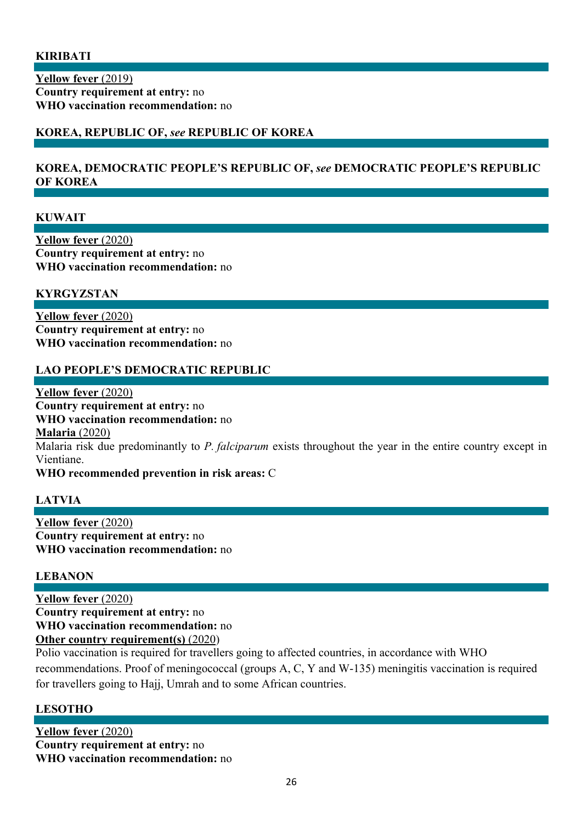#### **KIRIBATI**

**Yellow fever** (2019) **Country requirement at entry:** no **WHO vaccination recommendation:** no

# **KOREA, REPUBLIC OF,** *see* **REPUBLIC OF KOREA**

#### **KOREA, DEMOCRATIC PEOPLE'S REPUBLIC OF,** *see* **DEMOCRATIC PEOPLE'S REPUBLIC OF KOREA**

#### **KUWAIT**

**Yellow fever** (2020) **Country requirement at entry:** no **WHO vaccination recommendation:** no

#### **KYRGYZSTAN**

**Yellow fever** (2020) **Country requirement at entry:** no **WHO vaccination recommendation:** no

#### **LAO PEOPLE'S DEMOCRATIC REPUBLIC**

**Yellow fever** (2020) **Country requirement at entry:** no **WHO vaccination recommendation:** no **Malaria** (2020) Malaria risk due predominantly to *P. falciparum* exists throughout the year in the entire country except in Vientiane. **WHO recommended prevention in risk areas:** C

### **LATVIA**

**Yellow fever** (2020) **Country requirement at entry:** no **WHO vaccination recommendation:** no

#### **LEBANON**

**Yellow fever** (2020) **Country requirement at entry:** no **WHO vaccination recommendation:** no **Other country requirement(s)** (2020)

Polio vaccination is required for travellers going to affected countries, in accordance with WHO recommendations. Proof of meningococcal (groups A, C, Y and W-135) meningitis vaccination is required for travellers going to Hajj, Umrah and to some African countries.

### **LESOTHO**

**Yellow fever** (2020) **Country requirement at entry:** no **WHO vaccination recommendation:** no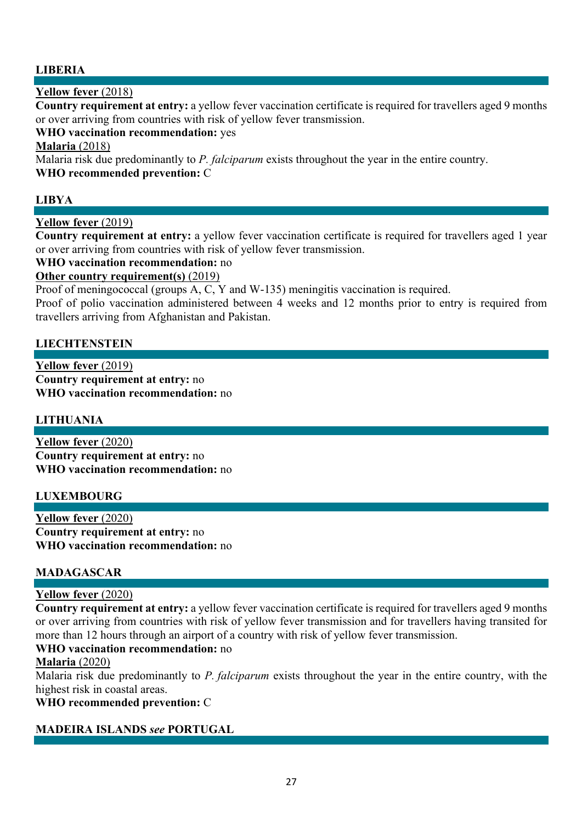# **LIBERIA**

### **Yellow fever** (2018)

**Country requirement at entry:** a yellow fever vaccination certificate is required for travellers aged 9 months or over arriving from countries with risk of yellow fever transmission.

**WHO vaccination recommendation:** yes

### **Malaria** (2018)

Malaria risk due predominantly to *P. falciparum* exists throughout the year in the entire country. **WHO recommended prevention:** C

# **LIBYA**

# **Yellow fever** (2019)

**Country requirement at entry:** a yellow fever vaccination certificate is required for travellers aged 1 year or over arriving from countries with risk of yellow fever transmission.

### **WHO vaccination recommendation:** no

### **Other country requirement(s)** (2019)

Proof of meningococcal (groups A, C, Y and W-135) meningitis vaccination is required.

Proof of polio vaccination administered between 4 weeks and 12 months prior to entry is required from travellers arriving from Afghanistan and Pakistan.

### **LIECHTENSTEIN**

**Yellow fever** (2019) **Country requirement at entry:** no **WHO vaccination recommendation:** no

### **LITHUANIA**

**Yellow fever** (2020) **Country requirement at entry:** no **WHO vaccination recommendation:** no

### **LUXEMBOURG**

**Yellow fever** (2020) **Country requirement at entry:** no **WHO vaccination recommendation:** no

### **MADAGASCAR**

### **Yellow fever** (2020)

**Country requirement at entry:** a yellow fever vaccination certificate is required for travellers aged 9 months or over arriving from countries with risk of yellow fever transmission and for travellers having transited for more than 12 hours through an airport of a country with risk of yellow fever transmission.

### **WHO vaccination recommendation:** no

### **Malaria** (2020)

Malaria risk due predominantly to *P. falciparum* exists throughout the year in the entire country, with the highest risk in coastal areas.

#### **WHO recommended prevention:** C

### **MADEIRA ISLANDS** *see* **PORTUGAL**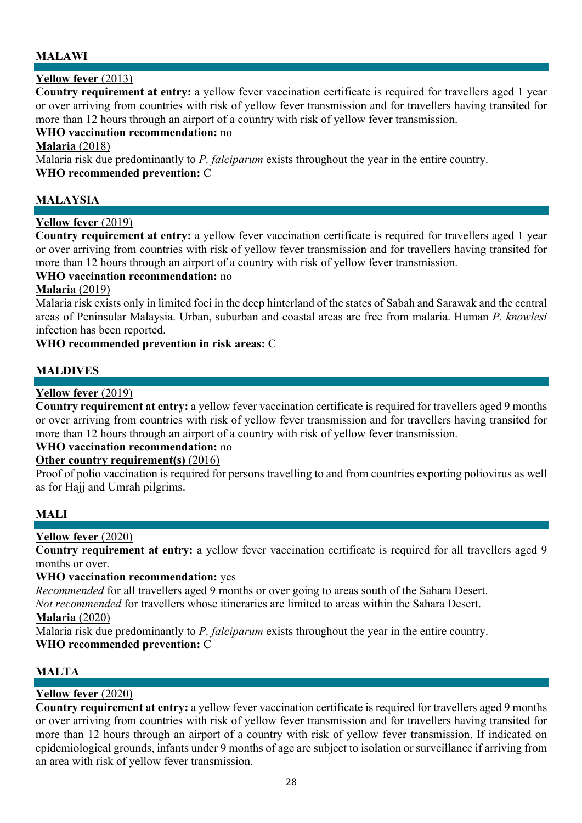# **MALAWI**

# **Yellow fever** (2013)

**Country requirement at entry:** a yellow fever vaccination certificate is required for travellers aged 1 year or over arriving from countries with risk of yellow fever transmission and for travellers having transited for more than 12 hours through an airport of a country with risk of yellow fever transmission.

### **WHO vaccination recommendation:** no

#### **Malaria** (2018)

Malaria risk due predominantly to *P. falciparum* exists throughout the year in the entire country. **WHO recommended prevention:** C

### **MALAYSIA**

### **Yellow fever** (2019)

**Country requirement at entry:** a yellow fever vaccination certificate is required for travellers aged 1 year or over arriving from countries with risk of yellow fever transmission and for travellers having transited for more than 12 hours through an airport of a country with risk of yellow fever transmission.

#### **WHO vaccination recommendation:** no

#### **Malaria** (2019)

Malaria risk exists only in limited foci in the deep hinterland of the states of Sabah and Sarawak and the central areas of Peninsular Malaysia. Urban, suburban and coastal areas are free from malaria. Human *P. knowlesi* infection has been reported.

#### **WHO recommended prevention in risk areas:** C

# **MALDIVES**

### **Yellow fever** (2019)

**Country requirement at entry:** a yellow fever vaccination certificate is required for travellers aged 9 months or over arriving from countries with risk of yellow fever transmission and for travellers having transited for more than 12 hours through an airport of a country with risk of yellow fever transmission.

# **WHO vaccination recommendation:** no

### **Other country requirement(s)** (2016)

Proof of polio vaccination is required for persons travelling to and from countries exporting poliovirus as well as for Hajj and Umrah pilgrims.

### **MALI**

### **Yellow fever** (2020)

**Country requirement at entry:** a yellow fever vaccination certificate is required for all travellers aged 9 months or over.

#### **WHO vaccination recommendation:** yes

*Recommended* for all travellers aged 9 months or over going to areas south of the Sahara Desert.

*Not recommended* for travellers whose itineraries are limited to areas within the Sahara Desert.

#### **Malaria** (2020)

Malaria risk due predominantly to *P. falciparum* exists throughout the year in the entire country. **WHO recommended prevention:** C

# **MALTA**

### **Yellow fever** (2020)

**Country requirement at entry:** a yellow fever vaccination certificate is required for travellers aged 9 months or over arriving from countries with risk of yellow fever transmission and for travellers having transited for more than 12 hours through an airport of a country with risk of yellow fever transmission. If indicated on epidemiological grounds, infants under 9 months of age are subject to isolation or surveillance if arriving from an area with risk of yellow fever transmission.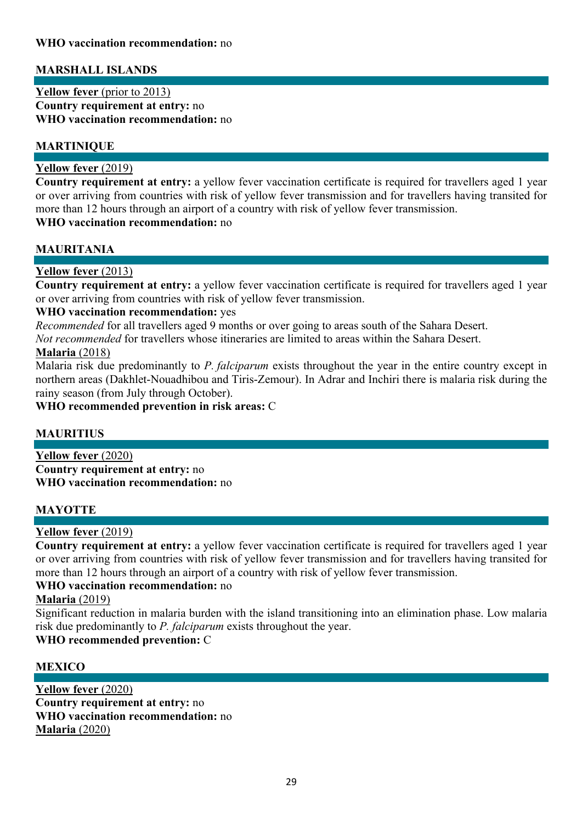# **MARSHALL ISLANDS**

**Yellow fever** (prior to 2013) **Country requirement at entry:** no **WHO vaccination recommendation:** no

# **MARTINIQUE**

### **Yellow fever** (2019)

**Country requirement at entry:** a yellow fever vaccination certificate is required for travellers aged 1 year or over arriving from countries with risk of yellow fever transmission and for travellers having transited for more than 12 hours through an airport of a country with risk of yellow fever transmission.

# **WHO vaccination recommendation:** no

# **MAURITANIA**

# **Yellow fever** (2013)

**Country requirement at entry:** a yellow fever vaccination certificate is required for travellers aged 1 year or over arriving from countries with risk of yellow fever transmission.

#### **WHO vaccination recommendation:** yes

*Recommended* for all travellers aged 9 months or over going to areas south of the Sahara Desert.

*Not recommended* for travellers whose itineraries are limited to areas within the Sahara Desert.

### **Malaria** (2018)

Malaria risk due predominantly to *P. falciparum* exists throughout the year in the entire country except in northern areas (Dakhlet-Nouadhibou and Tiris-Zemour). In Adrar and Inchiri there is malaria risk during the rainy season (from July through October).

#### **WHO recommended prevention in risk areas:** C

### **MAURITIUS**

**Yellow fever** (2020) **Country requirement at entry:** no **WHO vaccination recommendation:** no

### **MAYOTTE**

### **Yellow fever** (2019)

**Country requirement at entry:** a yellow fever vaccination certificate is required for travellers aged 1 year or over arriving from countries with risk of yellow fever transmission and for travellers having transited for more than 12 hours through an airport of a country with risk of yellow fever transmission.

# **WHO vaccination recommendation:** no

# **Malaria** (2019)

Significant reduction in malaria burden with the island transitioning into an elimination phase. Low malaria risk due predominantly to *P. falciparum* exists throughout the year.

### **WHO recommended prevention:** C

### **MEXICO**

**Yellow fever** (2020) **Country requirement at entry:** no **WHO vaccination recommendation:** no **Malaria** (2020)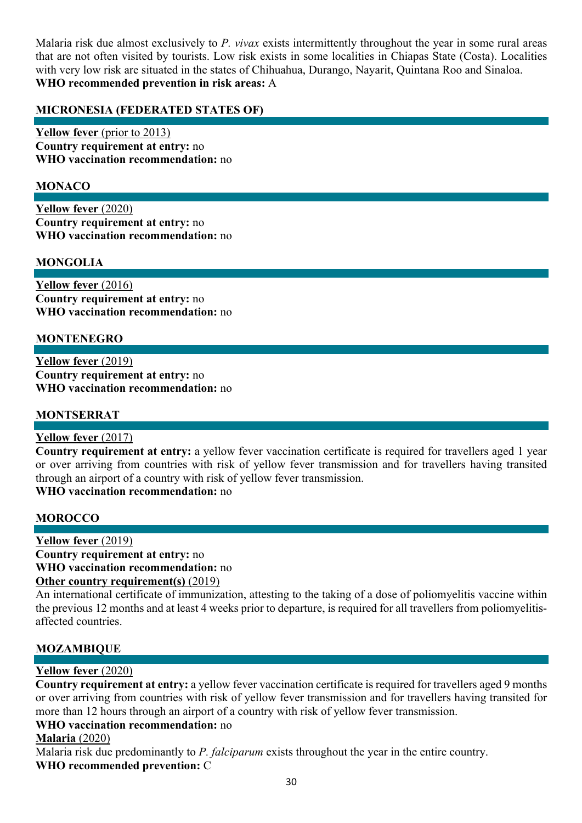Malaria risk due almost exclusively to *P. vivax* exists intermittently throughout the year in some rural areas that are not often visited by tourists. Low risk exists in some localities in Chiapas State (Costa). Localities with very low risk are situated in the states of Chihuahua, Durango, Nayarit, Quintana Roo and Sinaloa. **WHO recommended prevention in risk areas:** A

# **MICRONESIA (FEDERATED STATES OF)**

**Yellow fever** (prior to 2013) **Country requirement at entry:** no **WHO vaccination recommendation:** no

# **MONACO**

**Yellow fever** (2020) **Country requirement at entry:** no **WHO vaccination recommendation:** no

### **MONGOLIA**

**Yellow fever** (2016) **Country requirement at entry:** no **WHO vaccination recommendation:** no

### **MONTENEGRO**

**Yellow fever** (2019) **Country requirement at entry:** no **WHO vaccination recommendation:** no

### **MONTSERRAT**

### **Yellow fever** (2017)

**Country requirement at entry:** a yellow fever vaccination certificate is required for travellers aged 1 year or over arriving from countries with risk of yellow fever transmission and for travellers having transited through an airport of a country with risk of yellow fever transmission.

**WHO vaccination recommendation:** no

### **MOROCCO**

**Yellow fever** (2019) **Country requirement at entry:** no **WHO vaccination recommendation:** no **Other country requirement(s)** (2019)

An international certificate of immunization, attesting to the taking of a dose of poliomyelitis vaccine within the previous 12 months and at least 4 weeks prior to departure, is required for all travellers from poliomyelitisaffected countries.

### **MOZAMBIQUE**

### **Yellow fever** (2020)

**Country requirement at entry:** a yellow fever vaccination certificate is required for travellers aged 9 months or over arriving from countries with risk of yellow fever transmission and for travellers having transited for more than 12 hours through an airport of a country with risk of yellow fever transmission.

# **WHO vaccination recommendation:** no

### **Malaria** (2020)

Malaria risk due predominantly to *P. falciparum* exists throughout the year in the entire country. **WHO recommended prevention:** C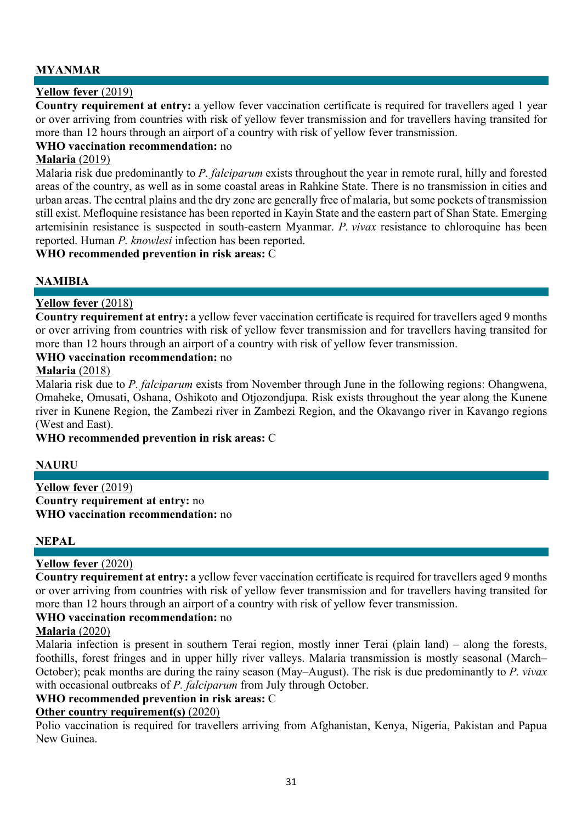# **MYANMAR**

# **Yellow fever** (2019)

**Country requirement at entry:** a yellow fever vaccination certificate is required for travellers aged 1 year or over arriving from countries with risk of yellow fever transmission and for travellers having transited for more than 12 hours through an airport of a country with risk of yellow fever transmission.

#### **WHO vaccination recommendation:** no

#### **Malaria** (2019)

Malaria risk due predominantly to *P. falciparum* exists throughout the year in remote rural, hilly and forested areas of the country, as well as in some coastal areas in Rahkine State. There is no transmission in cities and urban areas. The central plains and the dry zone are generally free of malaria, but some pockets of transmission still exist. Mefloquine resistance has been reported in Kayin State and the eastern part of Shan State. Emerging artemisinin resistance is suspected in south-eastern Myanmar. *P. vivax* resistance to chloroquine has been reported. Human *P. knowlesi* infection has been reported.

**WHO recommended prevention in risk areas:** C

# **NAMIBIA**

### **Yellow fever** (2018)

**Country requirement at entry:** a yellow fever vaccination certificate is required for travellers aged 9 months or over arriving from countries with risk of yellow fever transmission and for travellers having transited for more than 12 hours through an airport of a country with risk of yellow fever transmission.

#### **WHO vaccination recommendation:** no

#### **Malaria** (2018)

Malaria risk due to *P. falciparum* exists from November through June in the following regions: Ohangwena, Omaheke, Omusati, Oshana, Oshikoto and Otjozondjupa. Risk exists throughout the year along the Kunene river in Kunene Region, the Zambezi river in Zambezi Region, and the Okavango river in Kavango regions (West and East).

#### **WHO recommended prevention in risk areas:** C

### **NAURU**

**Yellow fever** (2019) **Country requirement at entry:** no **WHO vaccination recommendation:** no

### **NEPAL**

### **Yellow fever** (2020)

**Country requirement at entry:** a yellow fever vaccination certificate is required for travellers aged 9 months or over arriving from countries with risk of yellow fever transmission and for travellers having transited for more than 12 hours through an airport of a country with risk of yellow fever transmission.

#### **WHO vaccination recommendation:** no

#### **Malaria** (2020)

Malaria infection is present in southern Terai region, mostly inner Terai (plain land) – along the forests, foothills, forest fringes and in upper hilly river valleys. Malaria transmission is mostly seasonal (March– October); peak months are during the rainy season (May–August). The risk is due predominantly to *P. vivax*  with occasional outbreaks of *P. falciparum* from July through October.

### **WHO recommended prevention in risk areas:** C

#### **Other country requirement(s)** (2020)

Polio vaccination is required for travellers arriving from Afghanistan, Kenya, Nigeria, Pakistan and Papua New Guinea.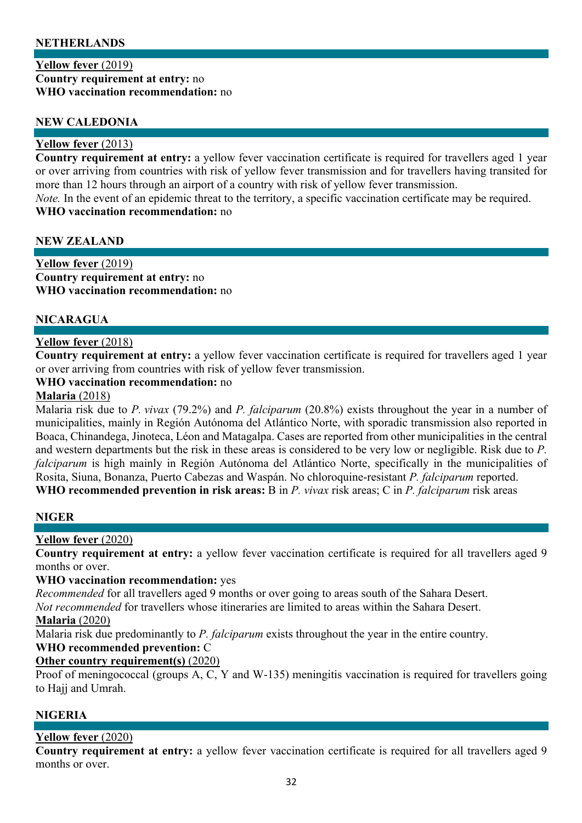# **NETHERLANDS**

#### **Yellow fever** (2019) **Country requirement at entry:** no **WHO vaccination recommendation:** no

### **NEW CALEDONIA**

#### **Yellow fever** (2013)

**Country requirement at entry:** a yellow fever vaccination certificate is required for travellers aged 1 year or over arriving from countries with risk of yellow fever transmission and for travellers having transited for more than 12 hours through an airport of a country with risk of yellow fever transmission. *Note.* In the event of an epidemic threat to the territory, a specific vaccination certificate may be required.

#### **WHO vaccination recommendation:** no

#### **NEW ZEALAND**

**Yellow fever** (2019) **Country requirement at entry:** no **WHO vaccination recommendation:** no

### **NICARAGUA**

### **Yellow fever** (2018)

**Country requirement at entry:** a yellow fever vaccination certificate is required for travellers aged 1 year or over arriving from countries with risk of yellow fever transmission.

### **WHO vaccination recommendation:** no

#### **Malaria** (2018)

Malaria risk due to *P. vivax* (79.2%) and *P. falciparum* (20.8%) exists throughout the year in a number of municipalities, mainly in Región Autónoma del Atlántico Norte, with sporadic transmission also reported in Boaca, Chinandega, Jinoteca, Léon and Matagalpa. Cases are reported from other municipalities in the central and western departments but the risk in these areas is considered to be very low or negligible. Risk due to *P. falciparum* is high mainly in Región Autónoma del Atlántico Norte, specifically in the municipalities of Rosita, Siuna, Bonanza, Puerto Cabezas and Waspán. No chloroquine-resistant *P. falciparum* reported. **WHO recommended prevention in risk areas:** B in *P. vivax* risk areas; C in *P. falciparum* risk areas

#### **NIGER**

### **Yellow fever** (2020)

**Country requirement at entry:** a yellow fever vaccination certificate is required for all travellers aged 9 months or over.

#### **WHO vaccination recommendation:** yes

*Recommended* for all travellers aged 9 months or over going to areas south of the Sahara Desert.

*Not recommended* for travellers whose itineraries are limited to areas within the Sahara Desert.

#### **Malaria** (2020)

Malaria risk due predominantly to *P. falciparum* exists throughout the year in the entire country.

### **WHO recommended prevention:** C

### **Other country requirement(s)** (2020)

Proof of meningococcal (groups A, C, Y and W-135) meningitis vaccination is required for travellers going to Hajj and Umrah.

### **NIGERIA**

### **Yellow fever** (2020)

**Country requirement at entry:** a yellow fever vaccination certificate is required for all travellers aged 9 months or over.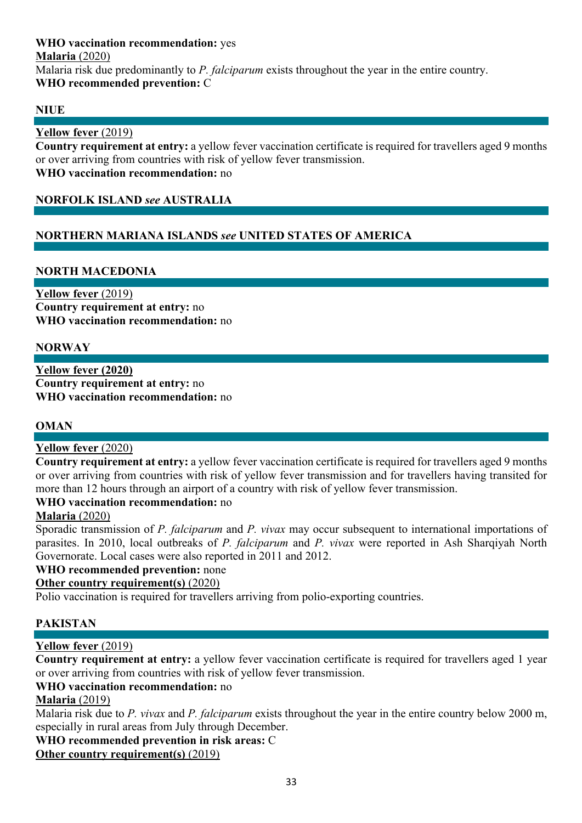### **WHO vaccination recommendation:** yes **Malaria** (2020) Malaria risk due predominantly to *P. falciparum* exists throughout the year in the entire country. **WHO recommended prevention:** C

# **NIUE**

# **Yellow fever** (2019)

**Country requirement at entry:** a yellow fever vaccination certificate is required for travellers aged 9 months or over arriving from countries with risk of yellow fever transmission. **WHO vaccination recommendation:** no

# **NORFOLK ISLAND** *see* **AUSTRALIA**

# **NORTHERN MARIANA ISLANDS** *see* **UNITED STATES OF AMERICA**

# **NORTH MACEDONIA**

**Yellow fever** (2019) **Country requirement at entry:** no **WHO vaccination recommendation:** no

# **NORWAY**

**Yellow fever (2020) Country requirement at entry:** no **WHO vaccination recommendation:** no

### **OMAN**

### **Yellow fever** (2020)

**Country requirement at entry:** a yellow fever vaccination certificate is required for travellers aged 9 months or over arriving from countries with risk of yellow fever transmission and for travellers having transited for more than 12 hours through an airport of a country with risk of yellow fever transmission.

### **WHO vaccination recommendation:** no

### **Malaria** (2020)

Sporadic transmission of *P. falciparum* and *P. vivax* may occur subsequent to international importations of parasites. In 2010, local outbreaks of *P. falciparum* and *P. vivax* were reported in Ash Sharqiyah North Governorate. Local cases were also reported in 2011 and 2012.

### **WHO recommended prevention:** none

### **Other country requirement(s)** (2020)

Polio vaccination is required for travellers arriving from polio-exporting countries.

### **PAKISTAN**

# **Yellow fever** (2019)

**Country requirement at entry:** a yellow fever vaccination certificate is required for travellers aged 1 year or over arriving from countries with risk of yellow fever transmission.

### **WHO vaccination recommendation:** no

### **Malaria** (2019)

Malaria risk due to *P. vivax* and *P. falciparum* exists throughout the year in the entire country below 2000 m, especially in rural areas from July through December.

#### **WHO recommended prevention in risk areas:** C

# **Other country requirement(s)** (2019)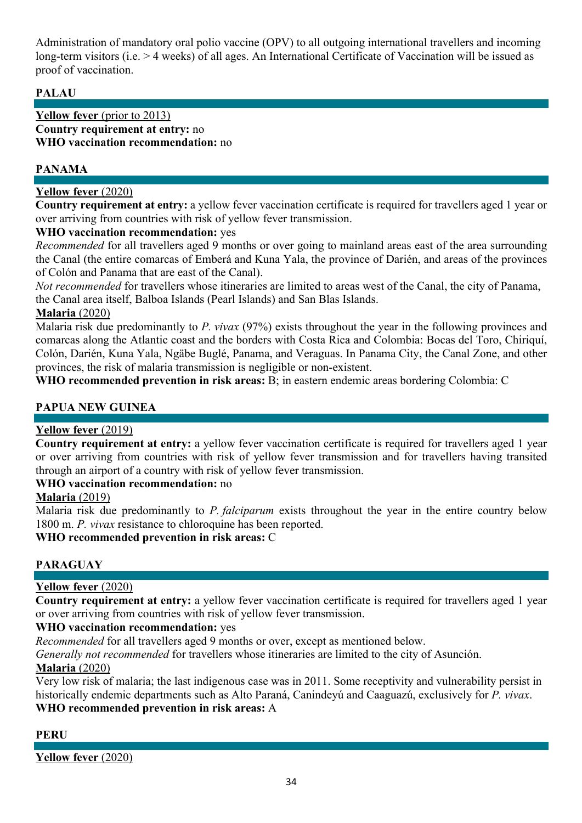Administration of mandatory oral polio vaccine (OPV) to all outgoing international travellers and incoming long-term visitors (i.e. > 4 weeks) of all ages. An International Certificate of Vaccination will be issued as proof of vaccination.

# **PALAU**

#### **Yellow fever** (prior to 2013) **Country requirement at entry:** no **WHO vaccination recommendation:** no

# **PANAMA**

# **Yellow fever** (2020)

**Country requirement at entry:** a yellow fever vaccination certificate is required for travellers aged 1 year or over arriving from countries with risk of yellow fever transmission.

### **WHO vaccination recommendation:** yes

*Recommended* for all travellers aged 9 months or over going to mainland areas east of the area surrounding the Canal (the entire comarcas of Emberá and Kuna Yala, the province of Darién, and areas of the provinces of Colón and Panama that are east of the Canal).

*Not recommended* for travellers whose itineraries are limited to areas west of the Canal, the city of Panama, the Canal area itself, Balboa Islands (Pearl Islands) and San Blas Islands.

# **Malaria** (2020)

Malaria risk due predominantly to *P. vivax* (97%) exists throughout the year in the following provinces and comarcas along the Atlantic coast and the borders with Costa Rica and Colombia: Bocas del Toro, Chiriquí, Colón, Darién, Kuna Yala, Ngäbe Buglé, Panama, and Veraguas. In Panama City, the Canal Zone, and other provinces, the risk of malaria transmission is negligible or non-existent.

**WHO recommended prevention in risk areas:** B; in eastern endemic areas bordering Colombia: C

# **PAPUA NEW GUINEA**

### **Yellow fever** (2019)

**Country requirement at entry:** a yellow fever vaccination certificate is required for travellers aged 1 year or over arriving from countries with risk of yellow fever transmission and for travellers having transited through an airport of a country with risk of yellow fever transmission.

### **WHO vaccination recommendation:** no

### **Malaria** (2019)

Malaria risk due predominantly to *P. falciparum* exists throughout the year in the entire country below 1800 m. *P. vivax* resistance to chloroquine has been reported.

**WHO recommended prevention in risk areas:** C

# **PARAGUAY**

### **Yellow fever** (2020)

**Country requirement at entry:** a yellow fever vaccination certificate is required for travellers aged 1 year or over arriving from countries with risk of yellow fever transmission.

### **WHO vaccination recommendation:** yes

*Recommended* for all travellers aged 9 months or over, except as mentioned below.

*Generally not recommended* for travellers whose itineraries are limited to the city of Asunción.

### **Malaria** (2020)

Very low risk of malaria; the last indigenous case was in 2011. Some receptivity and vulnerability persist in historically endemic departments such as Alto Paraná, Canindeyú and Caaguazú, exclusively for *P. vivax*. **WHO recommended prevention in risk areas:** A

### **PERU**

**Yellow fever** (2020)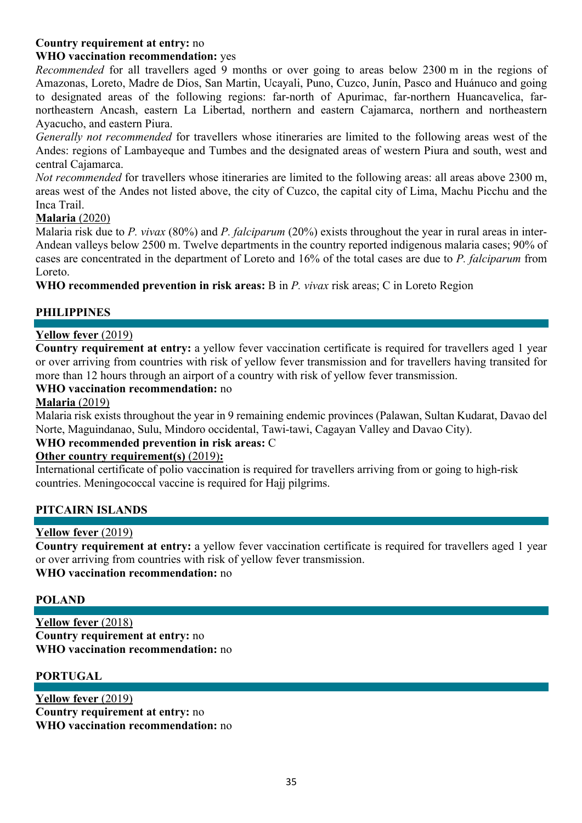# **Country requirement at entry:** no

### **WHO vaccination recommendation:** yes

*Recommended* for all travellers aged 9 months or over going to areas below 2300 m in the regions of Amazonas, Loreto, Madre de Dios, San Martin, Ucayali, Puno, Cuzco, Junín, Pasco and Huánuco and going to designated areas of the following regions: far-north of Apurimac, far-northern Huancavelica, farnortheastern Ancash, eastern La Libertad, northern and eastern Cajamarca, northern and northeastern Ayacucho, and eastern Piura.

*Generally not recommended* for travellers whose itineraries are limited to the following areas west of the Andes: regions of Lambayeque and Tumbes and the designated areas of western Piura and south, west and central Cajamarca.

*Not recommended* for travellers whose itineraries are limited to the following areas: all areas above 2300 m, areas west of the Andes not listed above, the city of Cuzco, the capital city of Lima, Machu Picchu and the Inca Trail.

#### **Malaria** (2020)

Malaria risk due to *P. vivax* (80%) and *P. falciparum* (20%) exists throughout the year in rural areas in inter-Andean valleys below 2500 m. Twelve departments in the country reported indigenous malaria cases; 90% of cases are concentrated in the department of Loreto and 16% of the total cases are due to *P. falciparum* from Loreto.

**WHO recommended prevention in risk areas:** B in *P. vivax* risk areas; C in Loreto Region

# **PHILIPPINES**

# **Yellow fever** (2019)

**Country requirement at entry:** a yellow fever vaccination certificate is required for travellers aged 1 year or over arriving from countries with risk of yellow fever transmission and for travellers having transited for more than 12 hours through an airport of a country with risk of yellow fever transmission.

#### **WHO vaccination recommendation:** no

#### **Malaria** (2019)

Malaria risk exists throughout the year in 9 remaining endemic provinces (Palawan, Sultan Kudarat, Davao del Norte, Maguindanao, Sulu, Mindoro occidental, Tawi-tawi, Cagayan Valley and Davao City).

### **WHO recommended prevention in risk areas:** C

### **Other country requirement(s)** (2019)**:**

International certificate of polio vaccination is required for travellers arriving from or going to high-risk countries. Meningococcal vaccine is required for Hajj pilgrims.

### **PITCAIRN ISLANDS**

### **Yellow fever** (2019)

**Country requirement at entry:** a yellow fever vaccination certificate is required for travellers aged 1 year or over arriving from countries with risk of yellow fever transmission. **WHO vaccination recommendation:** no

### **POLAND**

**Yellow fever** (2018) **Country requirement at entry:** no **WHO vaccination recommendation:** no

#### **PORTUGAL**

**Yellow fever** (2019) **Country requirement at entry:** no **WHO vaccination recommendation:** no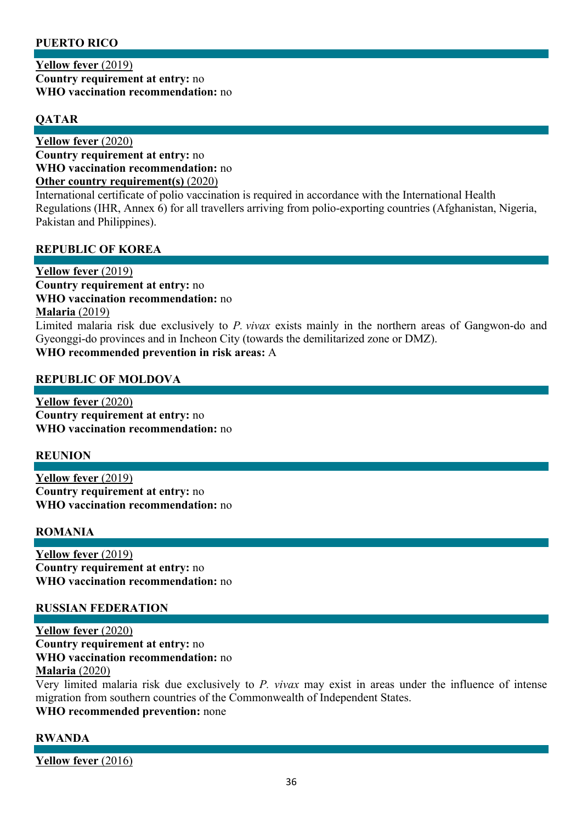# **PUERTO RICO**

**Yellow fever** (2019) **Country requirement at entry:** no **WHO vaccination recommendation:** no

# **QATAR**

**Yellow fever** (2020) **Country requirement at entry:** no **WHO vaccination recommendation:** no **Other country requirement(s)** (2020)

International certificate of polio vaccination is required in accordance with the International Health Regulations (IHR, Annex 6) for all travellers arriving from polio-exporting countries (Afghanistan, Nigeria, Pakistan and Philippines).

# **REPUBLIC OF KOREA**

**Yellow fever** (2019) **Country requirement at entry:** no **WHO vaccination recommendation:** no **Malaria** (2019) Limited malaria risk due exclusively to *P. vivax* exists mainly in the northern areas of Gangwon-do and Gyeonggi-do provinces and in Incheon City (towards the demilitarized zone or DMZ). **WHO recommended prevention in risk areas:** A

### **REPUBLIC OF MOLDOVA**

**Yellow fever** (2020) **Country requirement at entry:** no **WHO vaccination recommendation:** no

### **REUNION**

**Yellow fever** (2019) **Country requirement at entry:** no **WHO vaccination recommendation:** no

### **ROMANIA**

**Yellow fever** (2019) **Country requirement at entry:** no **WHO vaccination recommendation:** no

#### **RUSSIAN FEDERATION**

**Yellow fever** (2020) **Country requirement at entry:** no **WHO vaccination recommendation:** no **Malaria** (2020)

Very limited malaria risk due exclusively to *P. vivax* may exist in areas under the influence of intense migration from southern countries of the Commonwealth of Independent States.

**WHO recommended prevention:** none

### **RWANDA**

**Yellow fever** (2016)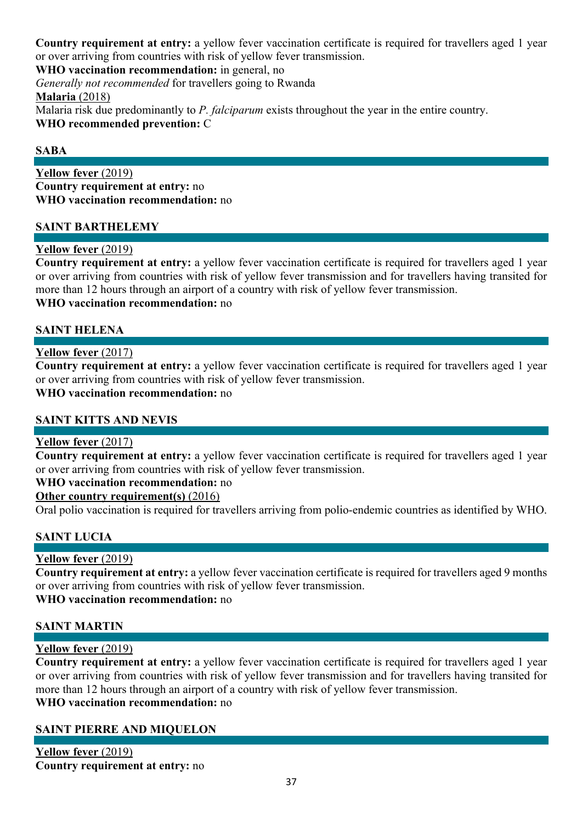**Country requirement at entry:** a yellow fever vaccination certificate is required for travellers aged 1 year or over arriving from countries with risk of yellow fever transmission.

**WHO vaccination recommendation:** in general, no

*Generally not recommended* for travellers going to Rwanda

**Malaria** (2018)

Malaria risk due predominantly to *P. falciparum* exists throughout the year in the entire country. **WHO recommended prevention:** C

### **SABA**

**Yellow fever** (2019) **Country requirement at entry:** no **WHO vaccination recommendation:** no

#### **SAINT BARTHELEMY**

#### **Yellow fever** (2019)

**Country requirement at entry:** a yellow fever vaccination certificate is required for travellers aged 1 year or over arriving from countries with risk of yellow fever transmission and for travellers having transited for more than 12 hours through an airport of a country with risk of yellow fever transmission. **WHO vaccination recommendation:** no

#### **SAINT HELENA**

#### **Yellow fever** (2017)

**Country requirement at entry:** a yellow fever vaccination certificate is required for travellers aged 1 year or over arriving from countries with risk of yellow fever transmission.

# **WHO vaccination recommendation:** no

### **SAINT KITTS AND NEVIS**

#### **Yellow fever** (2017)

**Country requirement at entry:** a yellow fever vaccination certificate is required for travellers aged 1 year or over arriving from countries with risk of yellow fever transmission.

#### **WHO vaccination recommendation:** no

#### **Other country requirement(s)** (2016)

Oral polio vaccination is required for travellers arriving from polio-endemic countries as identified by WHO.

### **SAINT LUCIA**

### **Yellow fever** (2019)

**Country requirement at entry:** a yellow fever vaccination certificate is required for travellers aged 9 months or over arriving from countries with risk of yellow fever transmission.

#### **WHO vaccination recommendation:** no

### **SAINT MARTIN**

### **Yellow fever** (2019)

**Country requirement at entry:** a yellow fever vaccination certificate is required for travellers aged 1 year or over arriving from countries with risk of yellow fever transmission and for travellers having transited for more than 12 hours through an airport of a country with risk of yellow fever transmission. **WHO vaccination recommendation:** no

### **SAINT PIERRE AND MIQUELON**

**Yellow fever** (2019) **Country requirement at entry:** no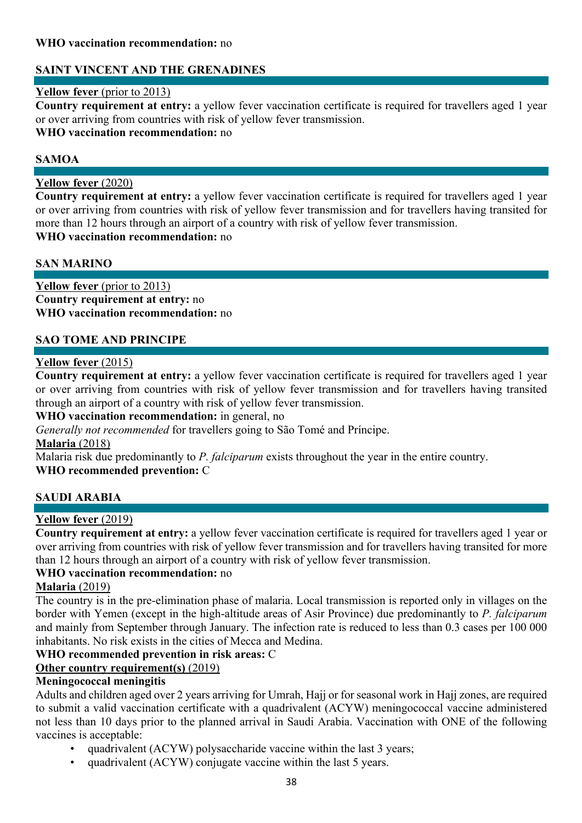### **WHO vaccination recommendation:** no

# **SAINT VINCENT AND THE GRENADINES**

#### **Yellow fever** (prior to 2013)

**Country requirement at entry:** a yellow fever vaccination certificate is required for travellers aged 1 year or over arriving from countries with risk of yellow fever transmission.

#### **WHO vaccination recommendation:** no

#### **SAMOA**

#### **Yellow fever** (2020)

**Country requirement at entry:** a yellow fever vaccination certificate is required for travellers aged 1 year or over arriving from countries with risk of yellow fever transmission and for travellers having transited for more than 12 hours through an airport of a country with risk of yellow fever transmission. **WHO vaccination recommendation:** no

#### **SAN MARINO**

**Yellow fever** (prior to 2013) **Country requirement at entry:** no **WHO vaccination recommendation:** no

### **SAO TOME AND PRINCIPE**

### **Yellow fever** (2015)

**Country requirement at entry:** a yellow fever vaccination certificate is required for travellers aged 1 year or over arriving from countries with risk of yellow fever transmission and for travellers having transited through an airport of a country with risk of yellow fever transmission.

#### **WHO vaccination recommendation:** in general, no

*Generally not recommended* for travellers going to São Tomé and Príncipe.

#### **Malaria** (2018)

Malaria risk due predominantly to *P. falciparum* exists throughout the year in the entire country.

### **WHO recommended prevention:** C

### **SAUDI ARABIA**

### **Yellow fever** (2019)

**Country requirement at entry:** a yellow fever vaccination certificate is required for travellers aged 1 year or over arriving from countries with risk of yellow fever transmission and for travellers having transited for more than 12 hours through an airport of a country with risk of yellow fever transmission.

#### **WHO vaccination recommendation:** no

#### **Malaria** (2019)

The country is in the pre-elimination phase of malaria. Local transmission is reported only in villages on the border with Yemen (except in the high-altitude areas of Asir Province) due predominantly to *P. falciparum* and mainly from September through January. The infection rate is reduced to less than 0.3 cases per 100 000 inhabitants. No risk exists in the cities of Mecca and Medina.

### **WHO recommended prevention in risk areas:** C

### **Other country requirement(s)** (2019)

#### **Meningococcal meningitis**

Adults and children aged over 2 years arriving for Umrah, Hajj or for seasonal work in Hajj zones, are required to submit a valid vaccination certificate with a quadrivalent (ACYW) meningococcal vaccine administered not less than 10 days prior to the planned arrival in Saudi Arabia. Vaccination with ONE of the following vaccines is acceptable:

- quadrivalent (ACYW) polysaccharide vaccine within the last 3 years;
- quadrivalent (ACYW) conjugate vaccine within the last 5 years.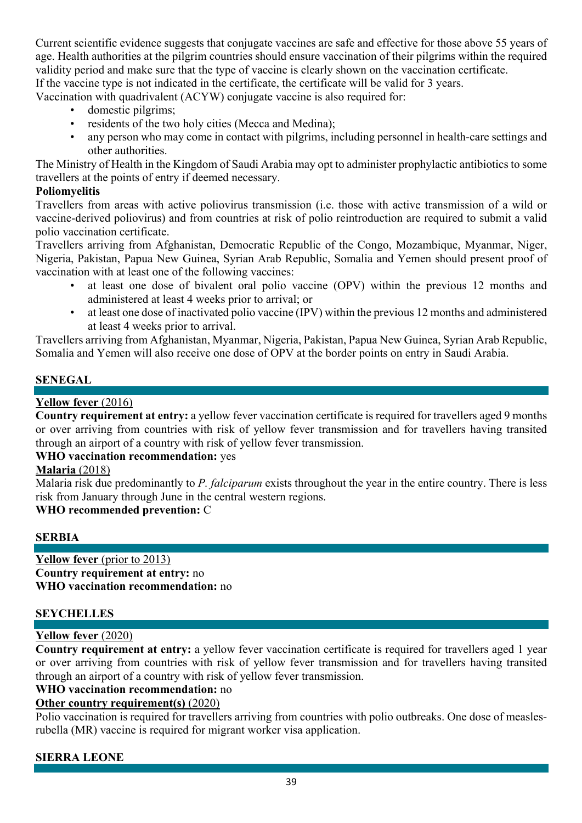Current scientific evidence suggests that conjugate vaccines are safe and effective for those above 55 years of age. Health authorities at the pilgrim countries should ensure vaccination of their pilgrims within the required validity period and make sure that the type of vaccine is clearly shown on the vaccination certificate. If the vaccine type is not indicated in the certificate, the certificate will be valid for 3 years.

Vaccination with quadrivalent (ACYW) conjugate vaccine is also required for:

- domestic pilgrims;
- residents of the two holy cities (Mecca and Medina);
- any person who may come in contact with pilgrims, including personnel in health-care settings and other authorities.

The Ministry of Health in the Kingdom of Saudi Arabia may opt to administer prophylactic antibiotics to some travellers at the points of entry if deemed necessary.

### **Poliomyelitis**

Travellers from areas with active poliovirus transmission (i.e. those with active transmission of a wild or vaccine-derived poliovirus) and from countries at risk of polio reintroduction are required to submit a valid polio vaccination certificate.

Travellers arriving from Afghanistan, Democratic Republic of the Congo, Mozambique, Myanmar, Niger, Nigeria, Pakistan, Papua New Guinea, Syrian Arab Republic, Somalia and Yemen should present proof of vaccination with at least one of the following vaccines:

- at least one dose of bivalent oral polio vaccine (OPV) within the previous 12 months and administered at least 4 weeks prior to arrival; or
- at least one dose of inactivated polio vaccine (IPV) within the previous 12 months and administered at least 4 weeks prior to arrival.

Travellers arriving from Afghanistan, Myanmar, Nigeria, Pakistan, Papua New Guinea, Syrian Arab Republic, Somalia and Yemen will also receive one dose of OPV at the border points on entry in Saudi Arabia.

# **SENEGAL**

# **Yellow fever** (2016)

**Country requirement at entry:** a yellow fever vaccination certificate is required for travellers aged 9 months or over arriving from countries with risk of yellow fever transmission and for travellers having transited through an airport of a country with risk of yellow fever transmission.

### **WHO vaccination recommendation:** yes

### **Malaria** (2018)

Malaria risk due predominantly to *P. falciparum* exists throughout the year in the entire country. There is less risk from January through June in the central western regions.

# **WHO recommended prevention:** C

### **SERBIA**

**Yellow fever** (prior to 2013) **Country requirement at entry:** no **WHO vaccination recommendation:** no

### **SEYCHELLES**

### **Yellow fever** (2020)

**Country requirement at entry:** a yellow fever vaccination certificate is required for travellers aged 1 year or over arriving from countries with risk of yellow fever transmission and for travellers having transited through an airport of a country with risk of yellow fever transmission.

# **WHO vaccination recommendation:** no

### **Other country requirement(s)** (2020)

Polio vaccination is required for travellers arriving from countries with polio outbreaks. One dose of measlesrubella (MR) vaccine is required for migrant worker visa application.

# **SIERRA LEONE**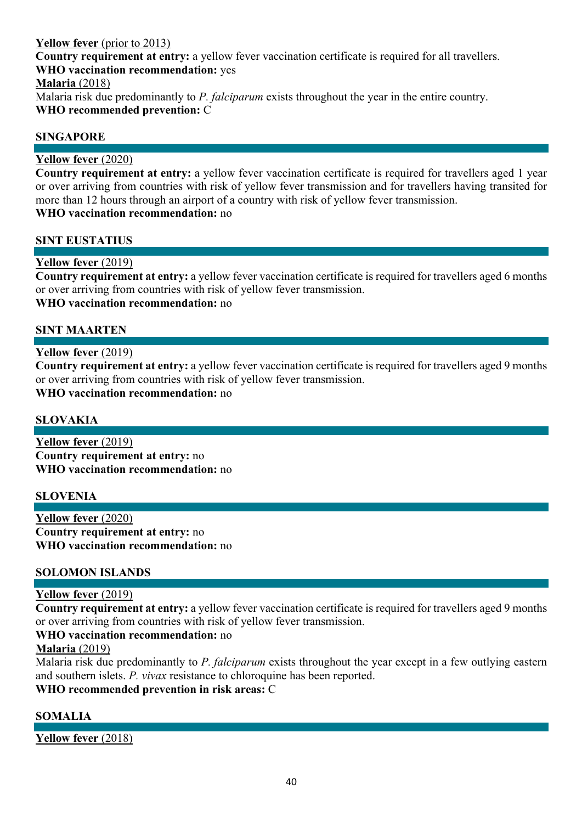### **Yellow fever** (prior to 2013)

**Country requirement at entry:** a yellow fever vaccination certificate is required for all travellers. **WHO vaccination recommendation:** yes

**Malaria** (2018)

Malaria risk due predominantly to *P. falciparum* exists throughout the year in the entire country. **WHO recommended prevention:** C

# **SINGAPORE**

#### **Yellow fever** (2020)

**Country requirement at entry:** a yellow fever vaccination certificate is required for travellers aged 1 year or over arriving from countries with risk of yellow fever transmission and for travellers having transited for more than 12 hours through an airport of a country with risk of yellow fever transmission. **WHO vaccination recommendation:** no

#### **SINT EUSTATIUS**

# **Yellow fever** (2019)

**Country requirement at entry:** a yellow fever vaccination certificate is required for travellers aged 6 months or over arriving from countries with risk of yellow fever transmission. **WHO vaccination recommendation:** no

### **SINT MAARTEN**

#### **Yellow fever** (2019)

**Country requirement at entry:** a yellow fever vaccination certificate is required for travellers aged 9 months or over arriving from countries with risk of yellow fever transmission.

**WHO vaccination recommendation:** no

### **SLOVAKIA**

**Yellow fever** (2019) **Country requirement at entry:** no **WHO vaccination recommendation:** no

#### **SLOVENIA**

**Yellow fever** (2020) **Country requirement at entry:** no **WHO vaccination recommendation:** no

#### **SOLOMON ISLANDS**

#### **Yellow fever** (2019)

**Country requirement at entry:** a yellow fever vaccination certificate is required for travellers aged 9 months or over arriving from countries with risk of yellow fever transmission.

#### **WHO vaccination recommendation:** no

#### **Malaria** (2019)

Malaria risk due predominantly to *P. falciparum* exists throughout the year except in a few outlying eastern and southern islets. *P. vivax* resistance to chloroquine has been reported.

# **WHO recommended prevention in risk areas:** C

# **SOMALIA**

**Yellow fever** (2018)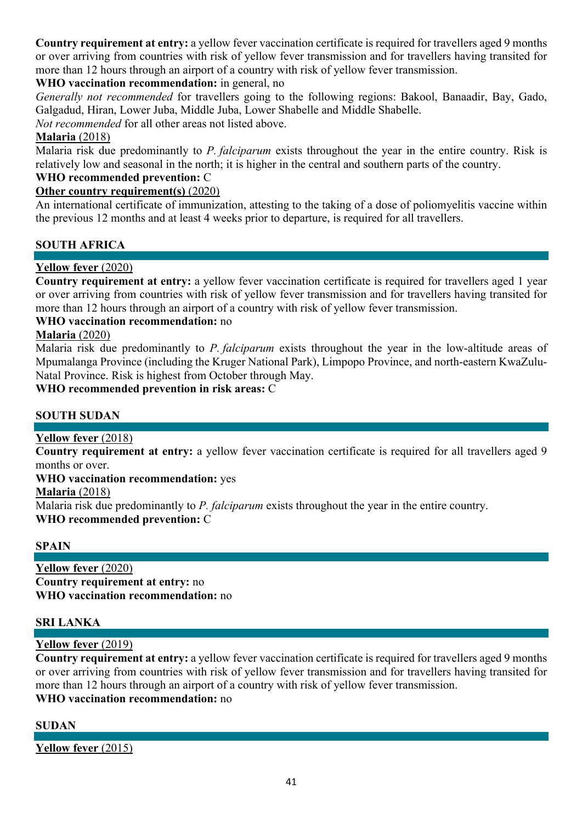**Country requirement at entry:** a yellow fever vaccination certificate is required for travellers aged 9 months or over arriving from countries with risk of yellow fever transmission and for travellers having transited for more than 12 hours through an airport of a country with risk of yellow fever transmission.

# **WHO vaccination recommendation:** in general, no

*Generally not recommended* for travellers going to the following regions: Bakool, Banaadir, Bay, Gado, Galgadud, Hiran, Lower Juba, Middle Juba, Lower Shabelle and Middle Shabelle.

*Not recommended* for all other areas not listed above.

# **Malaria** (2018)

Malaria risk due predominantly to *P. falciparum* exists throughout the year in the entire country. Risk is relatively low and seasonal in the north; it is higher in the central and southern parts of the country.

# **WHO recommended prevention:** C

# **Other country requirement(s)** (2020)

An international certificate of immunization, attesting to the taking of a dose of poliomyelitis vaccine within the previous 12 months and at least 4 weeks prior to departure, is required for all travellers.

# **SOUTH AFRICA**

# **Yellow fever** (2020)

**Country requirement at entry:** a yellow fever vaccination certificate is required for travellers aged 1 year or over arriving from countries with risk of yellow fever transmission and for travellers having transited for more than 12 hours through an airport of a country with risk of yellow fever transmission.

# **WHO vaccination recommendation:** no

### **Malaria** (2020)

Malaria risk due predominantly to *P. falciparum* exists throughout the year in the low-altitude areas of Mpumalanga Province (including the Kruger National Park), Limpopo Province, and north-eastern KwaZulu-Natal Province. Risk is highest from October through May.

### **WHO recommended prevention in risk areas:** C

### **SOUTH SUDAN**

### **Yellow fever** (2018)

**Country requirement at entry:** a yellow fever vaccination certificate is required for all travellers aged 9 months or over.

**WHO vaccination recommendation:** yes

### **Malaria** (2018)

Malaria risk due predominantly to *P. falciparum* exists throughout the year in the entire country.

### **WHO recommended prevention:** C

### **SPAIN**

**Yellow fever** (2020) **Country requirement at entry:** no **WHO vaccination recommendation:** no

### **SRI LANKA**

### **Yellow fever** (2019)

**Country requirement at entry:** a yellow fever vaccination certificate is required for travellers aged 9 months or over arriving from countries with risk of yellow fever transmission and for travellers having transited for more than 12 hours through an airport of a country with risk of yellow fever transmission. **WHO vaccination recommendation:** no

### **SUDAN**

**Yellow fever** (2015)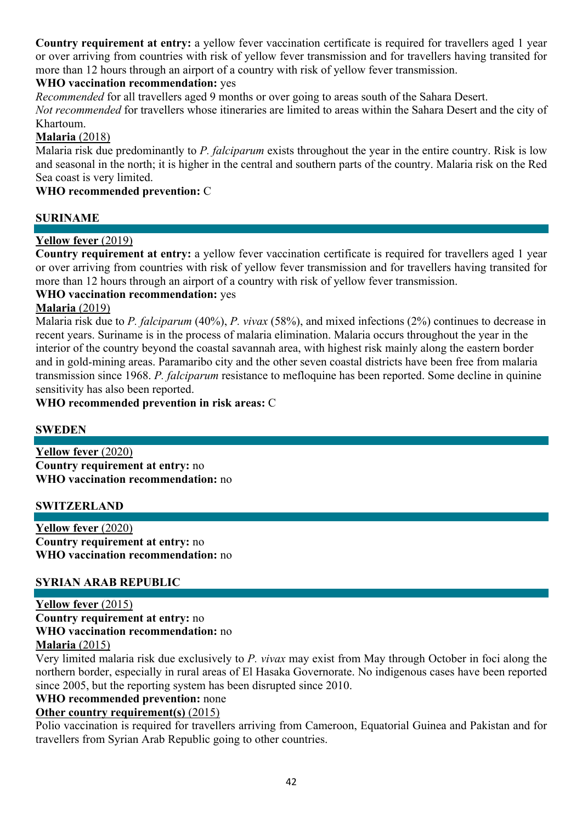**Country requirement at entry:** a yellow fever vaccination certificate is required for travellers aged 1 year or over arriving from countries with risk of yellow fever transmission and for travellers having transited for more than 12 hours through an airport of a country with risk of yellow fever transmission.

# **WHO vaccination recommendation:** yes

*Recommended* for all travellers aged 9 months or over going to areas south of the Sahara Desert.

*Not recommended* for travellers whose itineraries are limited to areas within the Sahara Desert and the city of Khartoum.

# **Malaria** (2018)

Malaria risk due predominantly to *P. falciparum* exists throughout the year in the entire country. Risk is low and seasonal in the north; it is higher in the central and southern parts of the country. Malaria risk on the Red Sea coast is very limited.

### **WHO recommended prevention:** C

# **SURINAME**

# **Yellow fever** (2019)

**Country requirement at entry:** a yellow fever vaccination certificate is required for travellers aged 1 year or over arriving from countries with risk of yellow fever transmission and for travellers having transited for more than 12 hours through an airport of a country with risk of yellow fever transmission.

# **WHO vaccination recommendation:** yes

#### **Malaria** (2019)

Malaria risk due to *P. falciparum* (40%), *P. vivax* (58%), and mixed infections (2%) continues to decrease in recent years. Suriname is in the process of malaria elimination. Malaria occurs throughout the year in the interior of the country beyond the coastal savannah area, with highest risk mainly along the eastern border and in gold-mining areas. Paramaribo city and the other seven coastal districts have been free from malaria transmission since 1968. *P. falciparum* resistance to mefloquine has been reported. Some decline in quinine sensitivity has also been reported.

**WHO recommended prevention in risk areas:** C

### **SWEDEN**

**Yellow fever** (2020) **Country requirement at entry:** no **WHO vaccination recommendation:** no

### **SWITZERLAND**

**Yellow fever** (2020) **Country requirement at entry:** no **WHO vaccination recommendation:** no

### **SYRIAN ARAB REPUBLIC**

**Yellow fever** (2015) **Country requirement at entry:** no **WHO vaccination recommendation:** no **Malaria** (2015)

Very limited malaria risk due exclusively to *P. vivax* may exist from May through October in foci along the northern border, especially in rural areas of El Hasaka Governorate. No indigenous cases have been reported since 2005, but the reporting system has been disrupted since 2010.

### **WHO recommended prevention:** none

### **Other country requirement(s)** (2015)

Polio vaccination is required for travellers arriving from Cameroon, Equatorial Guinea and Pakistan and for travellers from Syrian Arab Republic going to other countries.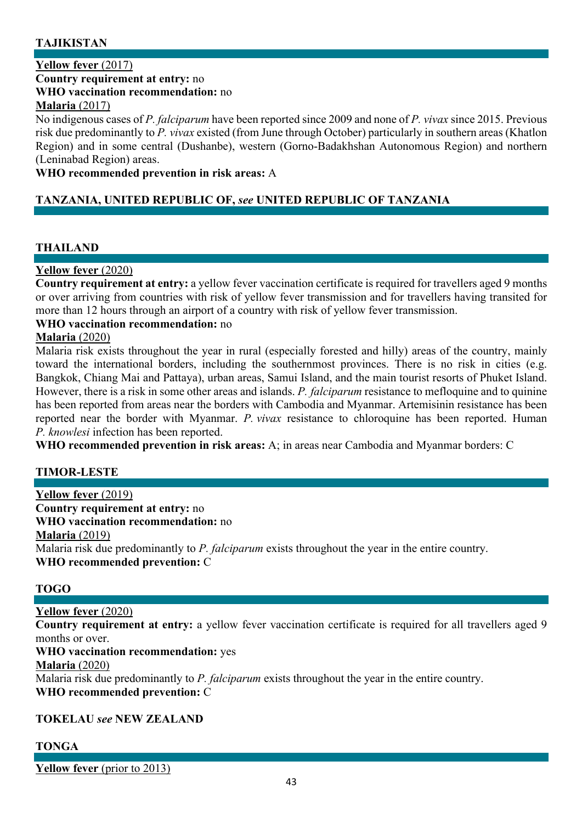# **TAJIKISTAN**

#### **Yellow fever** (2017)

**Country requirement at entry:** no

#### **WHO vaccination recommendation:** no

**Malaria** (2017)

No indigenous cases of *P. falciparum* have been reported since 2009 and none of *P. vivax* since 2015. Previous risk due predominantly to *P. vivax* existed (from June through October) particularly in southern areas (Khatlon Region) and in some central (Dushanbe), western (Gorno-Badakhshan Autonomous Region) and northern (Leninabad Region) areas.

#### **WHO recommended prevention in risk areas:** A

### **TANZANIA, UNITED REPUBLIC OF,** *see* **UNITED REPUBLIC OF TANZANIA**

# **THAILAND**

### **Yellow fever** (2020)

**Country requirement at entry:** a yellow fever vaccination certificate is required for travellers aged 9 months or over arriving from countries with risk of yellow fever transmission and for travellers having transited for more than 12 hours through an airport of a country with risk of yellow fever transmission.

#### **WHO vaccination recommendation:** no

#### **Malaria** (2020)

Malaria risk exists throughout the year in rural (especially forested and hilly) areas of the country, mainly toward the international borders, including the southernmost provinces. There is no risk in cities (e.g. Bangkok, Chiang Mai and Pattaya), urban areas, Samui Island, and the main tourist resorts of Phuket Island. However, there is a risk in some other areas and islands. *P. falciparum* resistance to mefloquine and to quinine has been reported from areas near the borders with Cambodia and Myanmar. Artemisinin resistance has been reported near the border with Myanmar. *P. vivax* resistance to chloroquine has been reported. Human *P. knowlesi* infection has been reported.

**WHO recommended prevention in risk areas:** A; in areas near Cambodia and Myanmar borders: C

### **TIMOR-LESTE**

### **Yellow fever** (2019) **Country requirement at entry:** no **WHO vaccination recommendation:** no **Malaria** (2019) Malaria risk due predominantly to *P. falciparum* exists throughout the year in the entire country. **WHO recommended prevention:** C

### **TOGO**

### **Yellow fever** (2020)

**Country requirement at entry:** a yellow fever vaccination certificate is required for all travellers aged 9 months or over.

#### **WHO vaccination recommendation:** yes

### **Malaria** (2020)

Malaria risk due predominantly to *P. falciparum* exists throughout the year in the entire country. **WHO recommended prevention:** C

### **TOKELAU** *see* **NEW ZEALAND**

### **TONGA**

**Yellow fever** (prior to 2013)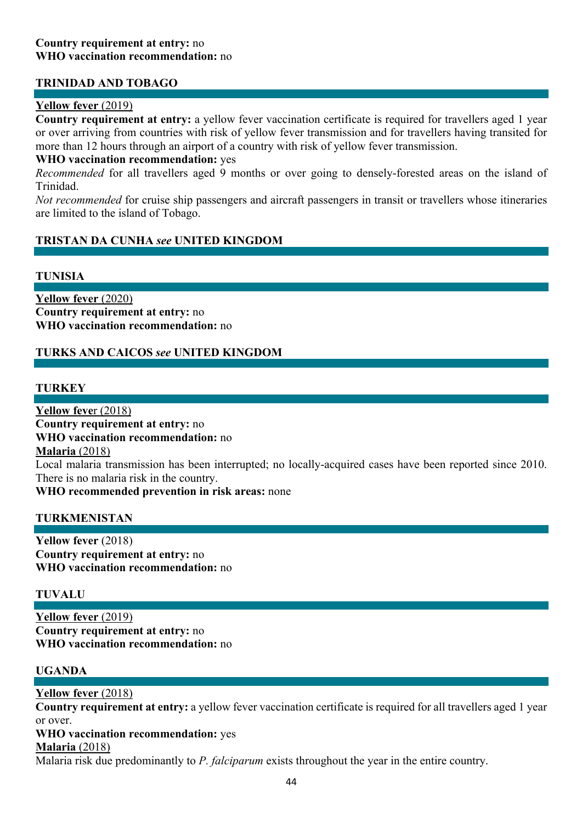### **TRINIDAD AND TOBAGO**

#### **Yellow fever** (2019)

**Country requirement at entry:** a yellow fever vaccination certificate is required for travellers aged 1 year or over arriving from countries with risk of yellow fever transmission and for travellers having transited for more than 12 hours through an airport of a country with risk of yellow fever transmission.

#### **WHO vaccination recommendation:** yes

*Recommended* for all travellers aged 9 months or over going to densely-forested areas on the island of Trinidad.

*Not recommended* for cruise ship passengers and aircraft passengers in transit or travellers whose itineraries are limited to the island of Tobago.

### **TRISTAN DA CUNHA** *see* **UNITED KINGDOM**

#### **TUNISIA**

**Yellow fever** (2020) **Country requirement at entry:** no **WHO vaccination recommendation:** no

### **TURKS AND CAICOS** *see* **UNITED KINGDOM**

#### **TURKEY**

**Yellow feve**r (2018) **Country requirement at entry:** no **WHO vaccination recommendation:** no **Malaria** (2018) Local malaria transmission has been interrupted; no locally-acquired cases have been reported since 2010. There is no malaria risk in the country.

**WHO recommended prevention in risk areas:** none

#### **TURKMENISTAN**

**Yellow fever** (2018) **Country requirement at entry:** no **WHO vaccination recommendation:** no

#### **TUVALU**

**Yellow fever** (2019) **Country requirement at entry:** no **WHO vaccination recommendation:** no

#### **UGANDA**

#### **Yellow fever** (2018)

**Country requirement at entry:** a yellow fever vaccination certificate is required for all travellers aged 1 year or over.

# **WHO vaccination recommendation:** yes

#### **Malaria** (2018)

Malaria risk due predominantly to *P. falciparum* exists throughout the year in the entire country.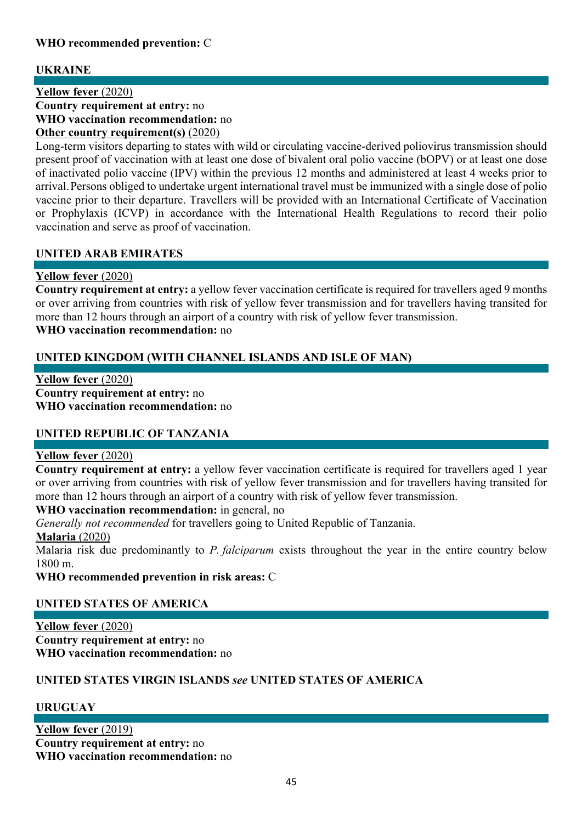# **WHO recommended prevention:** C

# **UKRAINE**

**Yellow fever** (2020) **Country requirement at entry:** no **WHO vaccination recommendation:** no **Other country requirement(s)** (2020)

Long-term visitors departing to states with wild or circulating vaccine-derived poliovirus transmission should present proof of vaccination with at least one dose of bivalent oral polio vaccine (bOPV) or at least one dose of inactivated polio vaccine (IPV) within the previous 12 months and administered at least 4 weeks prior to arrival.Persons obliged to undertake urgent international travel must be immunized with a single dose of polio vaccine prior to their departure. Travellers will be provided with an International Certificate of Vaccination or Prophylaxis (ICVP) in accordance with the International Health Regulations to record their polio vaccination and serve as proof of vaccination.

# **UNITED ARAB EMIRATES**

# **Yellow fever** (2020)

**Country requirement at entry:** a yellow fever vaccination certificate is required for travellers aged 9 months or over arriving from countries with risk of yellow fever transmission and for travellers having transited for more than 12 hours through an airport of a country with risk of yellow fever transmission. **WHO vaccination recommendation:** no

# **UNITED KINGDOM (WITH CHANNEL ISLANDS AND ISLE OF MAN)**

**Yellow fever** (2020) **Country requirement at entry:** no **WHO vaccination recommendation:** no

### **UNITED REPUBLIC OF TANZANIA**

### **Yellow fever** (2020)

**Country requirement at entry:** a yellow fever vaccination certificate is required for travellers aged 1 year or over arriving from countries with risk of yellow fever transmission and for travellers having transited for more than 12 hours through an airport of a country with risk of yellow fever transmission.

**WHO vaccination recommendation:** in general, no

*Generally not recommended* for travellers going to United Republic of Tanzania.

### **Malaria** (2020)

Malaria risk due predominantly to *P. falciparum* exists throughout the year in the entire country below 1800 m.

**WHO recommended prevention in risk areas:** C

# **UNITED STATES OF AMERICA**

**Yellow fever** (2020) **Country requirement at entry:** no **WHO vaccination recommendation:** no

# **UNITED STATES VIRGIN ISLANDS** *see* **UNITED STATES OF AMERICA**

### **URUGUAY**

**Yellow fever** (2019) **Country requirement at entry:** no **WHO vaccination recommendation:** no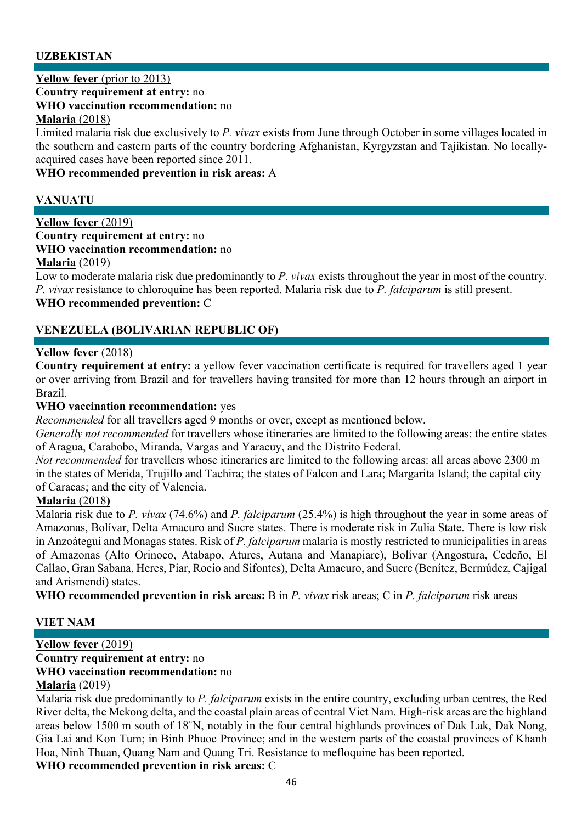# **UZBEKISTAN**

**Yellow fever** (prior to 2013)

**Country requirement at entry:** no

**WHO vaccination recommendation:** no

#### **Malaria** (2018)

Limited malaria risk due exclusively to *P. vivax* exists from June through October in some villages located in the southern and eastern parts of the country bordering Afghanistan, Kyrgyzstan and Tajikistan. No locallyacquired cases have been reported since 2011.

**WHO recommended prevention in risk areas:** A

# **VANUATU**

#### **Yellow fever** (2019) **Country requirement at entry:** no

# **WHO vaccination recommendation:** no

**Malaria** (2019)

Low to moderate malaria risk due predominantly to *P. vivax* exists throughout the year in most of the country. *P. vivax* resistance to chloroquine has been reported. Malaria risk due to *P. falciparum* is still present.

### **WHO recommended prevention:** C

# **VENEZUELA (BOLIVARIAN REPUBLIC OF)**

### **Yellow fever** (2018)

**Country requirement at entry:** a yellow fever vaccination certificate is required for travellers aged 1 year or over arriving from Brazil and for travellers having transited for more than 12 hours through an airport in Brazil.

#### **WHO vaccination recommendation:** yes

*Recommended* for all travellers aged 9 months or over, except as mentioned below.

*Generally not recommended* for travellers whose itineraries are limited to the following areas: the entire states of Aragua, Carabobo, Miranda, Vargas and Yaracuy, and the Distrito Federal.

*Not recommended* for travellers whose itineraries are limited to the following areas: all areas above 2300 m in the states of Merida, Trujillo and Tachira; the states of Falcon and Lara; Margarita Island; the capital city of Caracas; and the city of Valencia.

### **Malaria** (2018**)**

Malaria risk due to *P. vivax* (74.6%) and *P. falciparum* (25.4%) is high throughout the year in some areas of Amazonas, Bolívar, Delta Amacuro and Sucre states. There is moderate risk in Zulia State. There is low risk in Anzoátegui and Monagas states. Risk of *P. falciparum* malaria is mostly restricted to municipalities in areas of Amazonas (Alto Orinoco, Atabapo, Atures, Autana and Manapiare), Bolívar (Angostura, Cedeño, El Callao, Gran Sabana, Heres, Piar, Rocio and Sifontes), Delta Amacuro, and Sucre (Benítez, Bermúdez, Cajigal and Arismendi) states.

**WHO recommended prevention in risk areas:** B in *P. vivax* risk areas; C in *P. falciparum* risk areas

### **VIET NAM**

#### **Yellow fever** (2019) **Country requirement at entry:** no **WHO vaccination recommendation:** no **Malaria** (2019)

Malaria risk due predominantly to *P. falciparum* exists in the entire country, excluding urban centres, the Red River delta, the Mekong delta, and the coastal plain areas of central Viet Nam. High-risk areas are the highland areas below 1500 m south of 18˚N, notably in the four central highlands provinces of Dak Lak, Dak Nong, Gia Lai and Kon Tum; in Binh Phuoc Province; and in the western parts of the coastal provinces of Khanh Hoa, Ninh Thuan, Quang Nam and Quang Tri. Resistance to mefloquine has been reported.

**WHO recommended prevention in risk areas:** C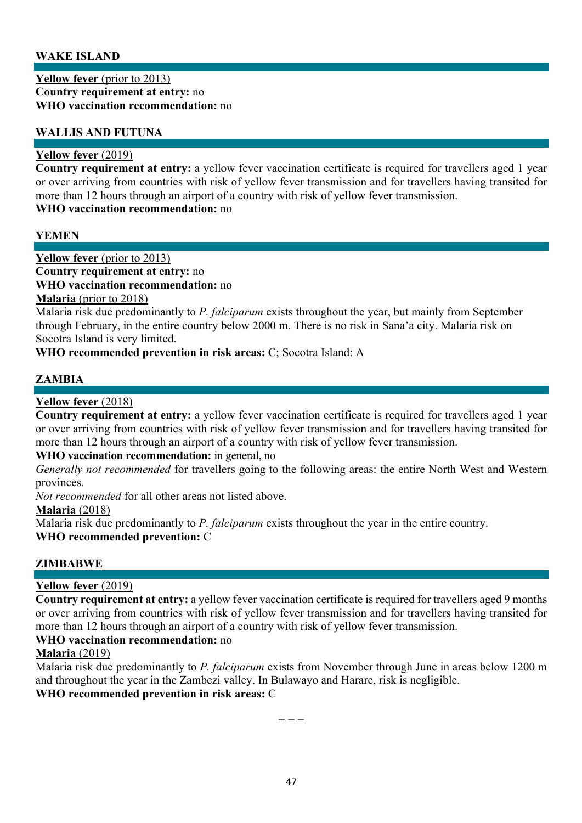### **WAKE ISLAND**

### **Yellow fever** (prior to 2013)

**Country requirement at entry:** no **WHO vaccination recommendation:** no

#### **WALLIS AND FUTUNA**

#### **Yellow fever** (2019)

**Country requirement at entry:** a yellow fever vaccination certificate is required for travellers aged 1 year or over arriving from countries with risk of yellow fever transmission and for travellers having transited for more than 12 hours through an airport of a country with risk of yellow fever transmission. **WHO vaccination recommendation:** no

#### **YEMEN**

**Yellow fever** (prior to 2013)

**Country requirement at entry:** no

**WHO vaccination recommendation:** no

#### **Malaria** (prior to 2018)

Malaria risk due predominantly to *P. falciparum* exists throughout the year, but mainly from September through February, in the entire country below 2000 m. There is no risk in Sana'a city. Malaria risk on Socotra Island is very limited.

**WHO recommended prevention in risk areas:** C; Socotra Island: A

# **ZAMBIA**

#### **Yellow fever** (2018)

**Country requirement at entry:** a yellow fever vaccination certificate is required for travellers aged 1 year or over arriving from countries with risk of yellow fever transmission and for travellers having transited for more than 12 hours through an airport of a country with risk of yellow fever transmission.

#### **WHO vaccination recommendation:** in general, no

*Generally not recommended* for travellers going to the following areas: the entire North West and Western provinces.

*Not recommended* for all other areas not listed above.

#### **Malaria** (2018)

Malaria risk due predominantly to *P. falciparum* exists throughout the year in the entire country.

**WHO recommended prevention:** C

#### **ZIMBABWE**

#### **Yellow fever** (2019)

**Country requirement at entry:** a yellow fever vaccination certificate is required for travellers aged 9 months or over arriving from countries with risk of yellow fever transmission and for travellers having transited for more than 12 hours through an airport of a country with risk of yellow fever transmission.

# **WHO vaccination recommendation:** no

#### **Malaria** (2019)

Malaria risk due predominantly to *P. falciparum* exists from November through June in areas below 1200 m and throughout the year in the Zambezi valley. In Bulawayo and Harare, risk is negligible. **WHO recommended prevention in risk areas:** C

 $=$   $=$   $=$